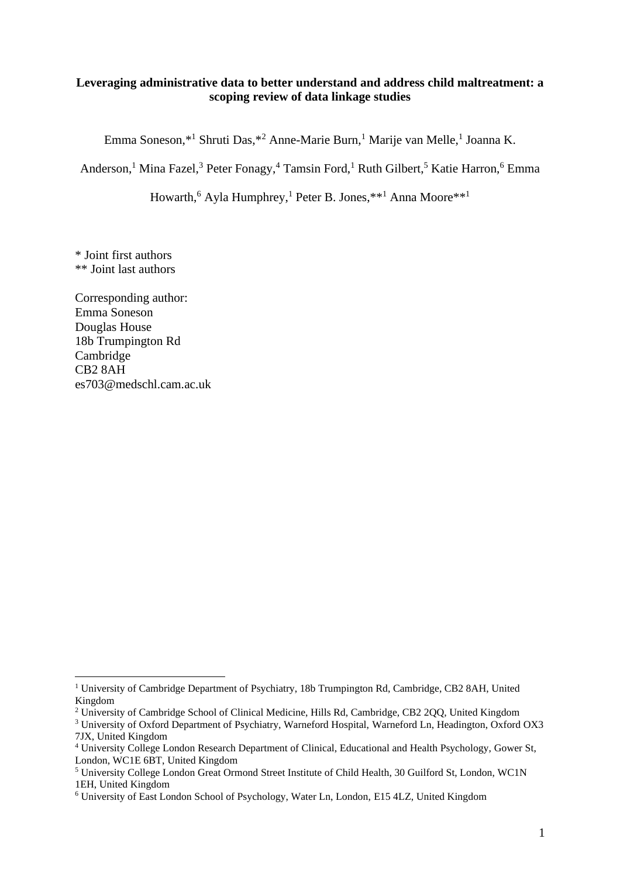## **Leveraging administrative data to better understand and address child maltreatment: a scoping review of data linkage studies**

Emma Soneson,\*<sup>1</sup> Shruti Das,\*<sup>2</sup> Anne-Marie Burn,<sup>1</sup> Marije van Melle,<sup>1</sup> Joanna K.

Anderson,<sup>1</sup> Mina Fazel,<sup>3</sup> Peter Fonagy,<sup>4</sup> Tamsin Ford,<sup>1</sup> Ruth Gilbert,<sup>5</sup> Katie Harron,<sup>6</sup> Emma

Howarth,<sup>6</sup> Ayla Humphrey,<sup>1</sup> Peter B. Jones,\*\*<sup>1</sup> Anna Moore\*\*<sup>1</sup>

\* Joint first authors \*\* Joint last authors

Corresponding author: Emma Soneson Douglas House 18b Trumpington Rd Cambridge CB2 8AH es703@medschl.cam.ac.uk

<sup>&</sup>lt;sup>1</sup> University of Cambridge Department of Psychiatry, 18b Trumpington Rd, Cambridge, CB2 8AH, United Kingdom

<sup>&</sup>lt;sup>2</sup> University of Cambridge School of Clinical Medicine, Hills Rd, Cambridge, CB2 2QQ, United Kingdom

<sup>&</sup>lt;sup>3</sup> University of Oxford Department of Psychiatry, Warneford Hospital, Warneford Ln, Headington, Oxford OX3 7JX, United Kingdom

<sup>4</sup> University College London Research Department of Clinical, Educational and Health Psychology, Gower St, London, WC1E 6BT, United Kingdom

<sup>5</sup> University College London Great Ormond Street Institute of Child Health, 30 Guilford St, London, WC1N 1EH, United Kingdom

<sup>6</sup> University of East London School of Psychology, Water Ln, London, E15 4LZ, United Kingdom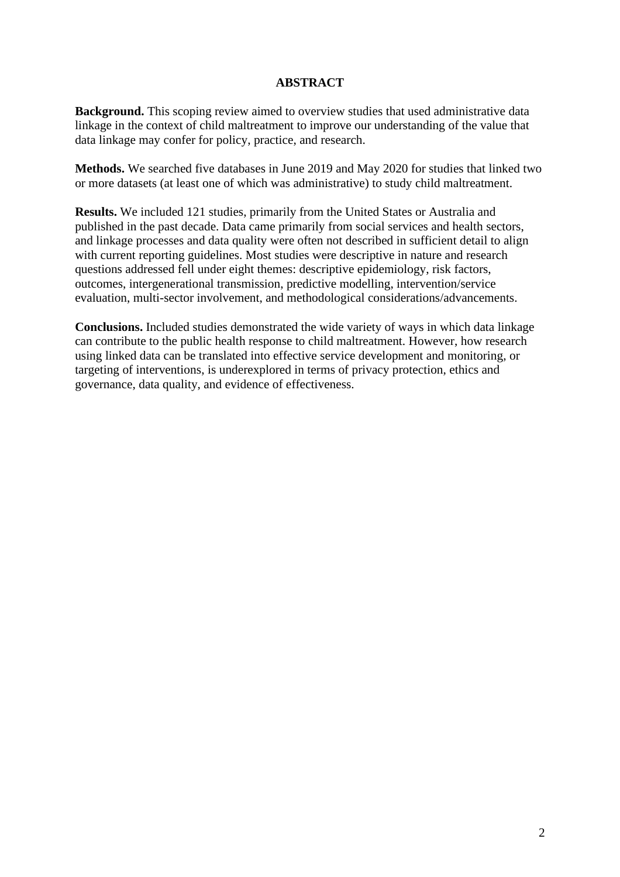# **ABSTRACT**

**Background.** This scoping review aimed to overview studies that used administrative data linkage in the context of child maltreatment to improve our understanding of the value that data linkage may confer for policy, practice, and research.

**Methods.** We searched five databases in June 2019 and May 2020 for studies that linked two or more datasets (at least one of which was administrative) to study child maltreatment.

**Results.** We included 121 studies, primarily from the United States or Australia and published in the past decade. Data came primarily from social services and health sectors, and linkage processes and data quality were often not described in sufficient detail to align with current reporting guidelines. Most studies were descriptive in nature and research questions addressed fell under eight themes: descriptive epidemiology, risk factors, outcomes, intergenerational transmission, predictive modelling, intervention/service evaluation, multi-sector involvement, and methodological considerations/advancements.

**Conclusions.** Included studies demonstrated the wide variety of ways in which data linkage can contribute to the public health response to child maltreatment. However, how research using linked data can be translated into effective service development and monitoring, or targeting of interventions, is underexplored in terms of privacy protection, ethics and governance, data quality, and evidence of effectiveness.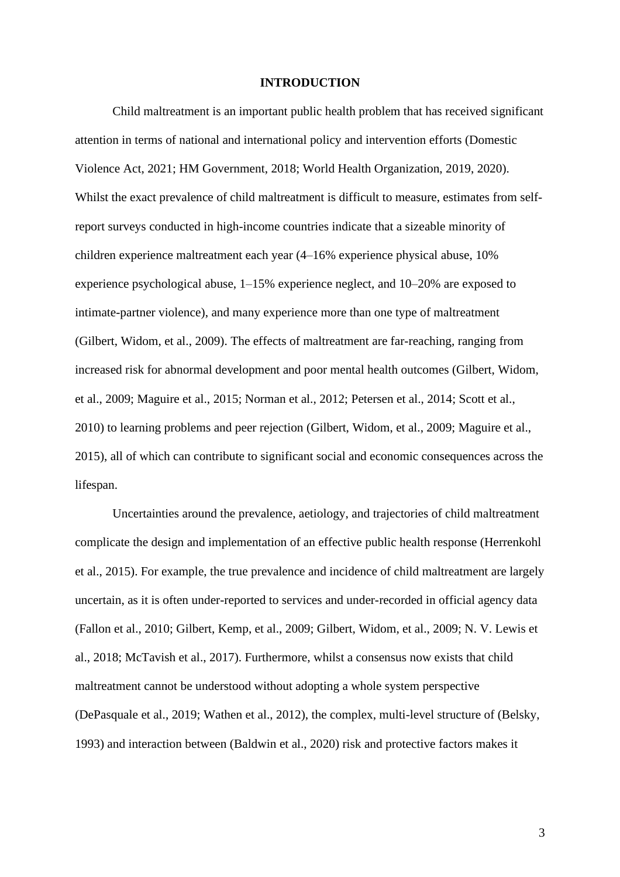#### **INTRODUCTION**

Child maltreatment is an important public health problem that has received significant attention in terms of national and international policy and intervention efforts (Domestic Violence Act, 2021; HM Government, 2018; World Health Organization, 2019, 2020). Whilst the exact prevalence of child maltreatment is difficult to measure, estimates from selfreport surveys conducted in high-income countries indicate that a sizeable minority of children experience maltreatment each year (4–16% experience physical abuse, 10% experience psychological abuse, 1–15% experience neglect, and 10–20% are exposed to intimate-partner violence), and many experience more than one type of maltreatment (Gilbert, Widom, et al., 2009). The effects of maltreatment are far-reaching, ranging from increased risk for abnormal development and poor mental health outcomes (Gilbert, Widom, et al., 2009; Maguire et al., 2015; Norman et al., 2012; Petersen et al., 2014; Scott et al., 2010) to learning problems and peer rejection (Gilbert, Widom, et al., 2009; Maguire et al., 2015), all of which can contribute to significant social and economic consequences across the lifespan.

Uncertainties around the prevalence, aetiology, and trajectories of child maltreatment complicate the design and implementation of an effective public health response (Herrenkohl et al., 2015). For example, the true prevalence and incidence of child maltreatment are largely uncertain, as it is often under-reported to services and under-recorded in official agency data (Fallon et al., 2010; Gilbert, Kemp, et al., 2009; Gilbert, Widom, et al., 2009; N. V. Lewis et al., 2018; McTavish et al., 2017). Furthermore, whilst a consensus now exists that child maltreatment cannot be understood without adopting a whole system perspective (DePasquale et al., 2019; Wathen et al., 2012), the complex, multi-level structure of (Belsky, 1993) and interaction between (Baldwin et al., 2020) risk and protective factors makes it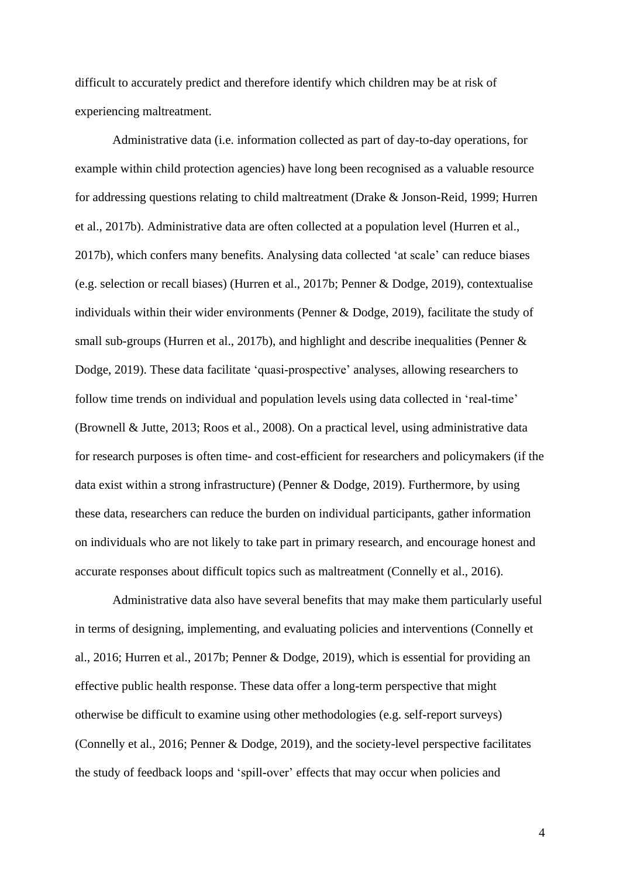difficult to accurately predict and therefore identify which children may be at risk of experiencing maltreatment.

Administrative data (i.e. information collected as part of day-to-day operations, for example within child protection agencies) have long been recognised as a valuable resource for addressing questions relating to child maltreatment (Drake & Jonson-Reid, 1999; Hurren et al., 2017b). Administrative data are often collected at a population level (Hurren et al., 2017b), which confers many benefits. Analysing data collected 'at scale' can reduce biases (e.g. selection or recall biases) (Hurren et al., 2017b; Penner & Dodge, 2019), contextualise individuals within their wider environments (Penner & Dodge, 2019), facilitate the study of small sub-groups (Hurren et al., 2017b), and highlight and describe inequalities (Penner & Dodge, 2019). These data facilitate 'quasi-prospective' analyses, allowing researchers to follow time trends on individual and population levels using data collected in 'real-time' (Brownell & Jutte, 2013; Roos et al., 2008). On a practical level, using administrative data for research purposes is often time- and cost-efficient for researchers and policymakers (if the data exist within a strong infrastructure) (Penner & Dodge, 2019). Furthermore, by using these data, researchers can reduce the burden on individual participants, gather information on individuals who are not likely to take part in primary research, and encourage honest and accurate responses about difficult topics such as maltreatment (Connelly et al., 2016).

Administrative data also have several benefits that may make them particularly useful in terms of designing, implementing, and evaluating policies and interventions (Connelly et al., 2016; Hurren et al., 2017b; Penner & Dodge, 2019), which is essential for providing an effective public health response. These data offer a long-term perspective that might otherwise be difficult to examine using other methodologies (e.g. self-report surveys) (Connelly et al., 2016; Penner & Dodge, 2019), and the society-level perspective facilitates the study of feedback loops and 'spill-over' effects that may occur when policies and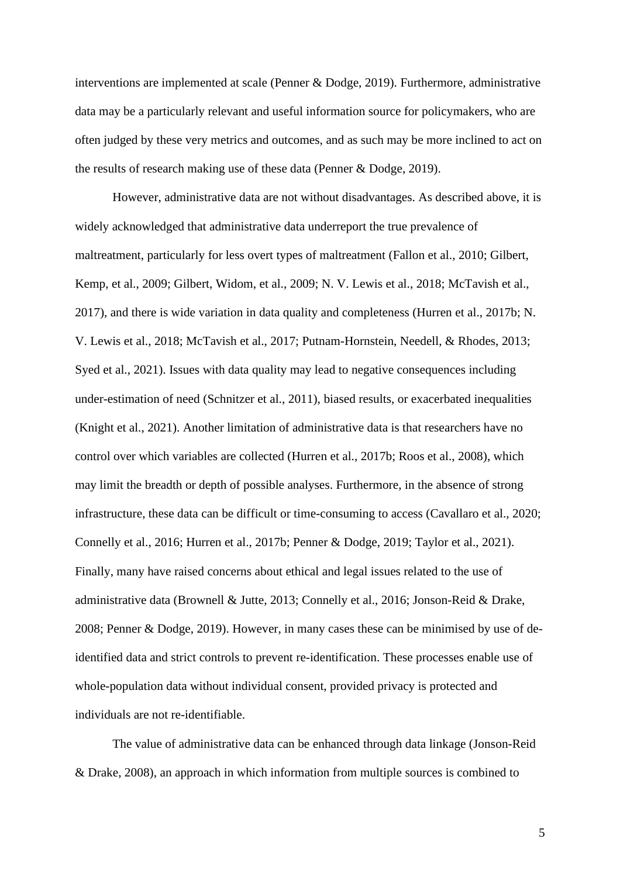interventions are implemented at scale (Penner & Dodge, 2019). Furthermore, administrative data may be a particularly relevant and useful information source for policymakers, who are often judged by these very metrics and outcomes, and as such may be more inclined to act on the results of research making use of these data (Penner & Dodge, 2019).

However, administrative data are not without disadvantages. As described above, it is widely acknowledged that administrative data underreport the true prevalence of maltreatment, particularly for less overt types of maltreatment (Fallon et al., 2010; Gilbert, Kemp, et al., 2009; Gilbert, Widom, et al., 2009; N. V. Lewis et al., 2018; McTavish et al., 2017), and there is wide variation in data quality and completeness (Hurren et al., 2017b; N. V. Lewis et al., 2018; McTavish et al., 2017; Putnam-Hornstein, Needell, & Rhodes, 2013; Syed et al., 2021). Issues with data quality may lead to negative consequences including under-estimation of need (Schnitzer et al., 2011), biased results, or exacerbated inequalities (Knight et al., 2021). Another limitation of administrative data is that researchers have no control over which variables are collected (Hurren et al., 2017b; Roos et al., 2008), which may limit the breadth or depth of possible analyses. Furthermore, in the absence of strong infrastructure, these data can be difficult or time-consuming to access (Cavallaro et al., 2020; Connelly et al., 2016; Hurren et al., 2017b; Penner & Dodge, 2019; Taylor et al., 2021). Finally, many have raised concerns about ethical and legal issues related to the use of administrative data (Brownell & Jutte, 2013; Connelly et al., 2016; Jonson-Reid & Drake, 2008; Penner & Dodge, 2019). However, in many cases these can be minimised by use of deidentified data and strict controls to prevent re-identification. These processes enable use of whole-population data without individual consent, provided privacy is protected and individuals are not re-identifiable.

The value of administrative data can be enhanced through data linkage (Jonson-Reid & Drake, 2008), an approach in which information from multiple sources is combined to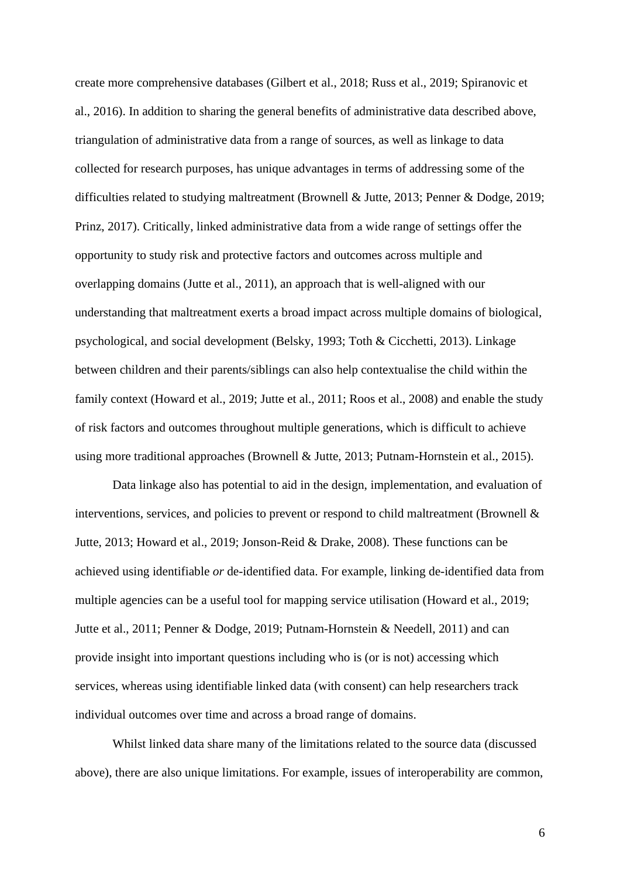create more comprehensive databases (Gilbert et al., 2018; Russ et al., 2019; Spiranovic et al., 2016). In addition to sharing the general benefits of administrative data described above, triangulation of administrative data from a range of sources, as well as linkage to data collected for research purposes, has unique advantages in terms of addressing some of the difficulties related to studying maltreatment (Brownell & Jutte, 2013; Penner & Dodge, 2019; Prinz, 2017). Critically, linked administrative data from a wide range of settings offer the opportunity to study risk and protective factors and outcomes across multiple and overlapping domains (Jutte et al., 2011), an approach that is well-aligned with our understanding that maltreatment exerts a broad impact across multiple domains of biological, psychological, and social development (Belsky, 1993; Toth & Cicchetti, 2013). Linkage between children and their parents/siblings can also help contextualise the child within the family context (Howard et al., 2019; Jutte et al., 2011; Roos et al., 2008) and enable the study of risk factors and outcomes throughout multiple generations, which is difficult to achieve using more traditional approaches (Brownell & Jutte, 2013; Putnam-Hornstein et al., 2015).

Data linkage also has potential to aid in the design, implementation, and evaluation of interventions, services, and policies to prevent or respond to child maltreatment (Brownell & Jutte, 2013; Howard et al., 2019; Jonson-Reid & Drake, 2008). These functions can be achieved using identifiable *or* de-identified data. For example, linking de-identified data from multiple agencies can be a useful tool for mapping service utilisation (Howard et al., 2019; Jutte et al., 2011; Penner & Dodge, 2019; Putnam-Hornstein & Needell, 2011) and can provide insight into important questions including who is (or is not) accessing which services, whereas using identifiable linked data (with consent) can help researchers track individual outcomes over time and across a broad range of domains.

Whilst linked data share many of the limitations related to the source data (discussed above), there are also unique limitations. For example, issues of interoperability are common,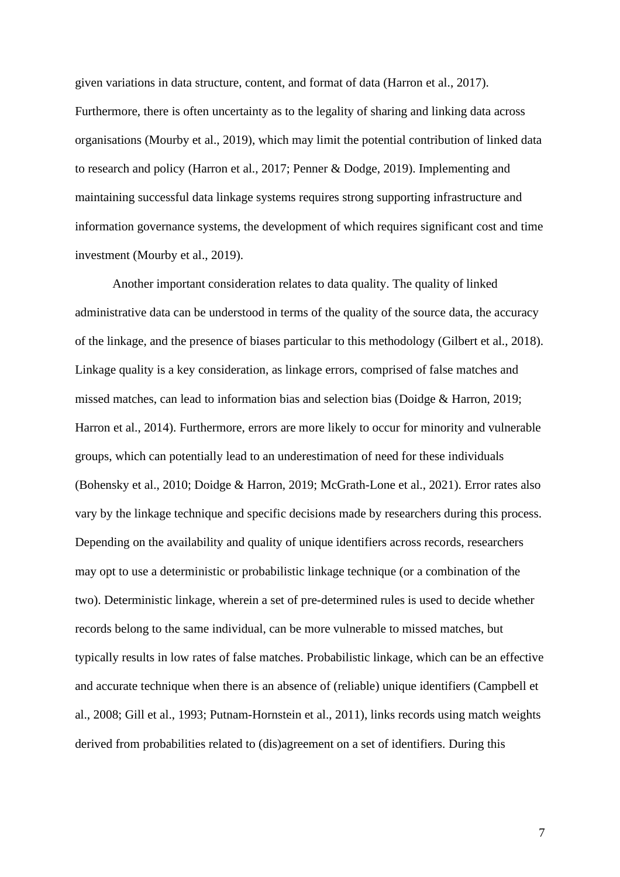given variations in data structure, content, and format of data (Harron et al., 2017). Furthermore, there is often uncertainty as to the legality of sharing and linking data across organisations (Mourby et al., 2019), which may limit the potential contribution of linked data to research and policy (Harron et al., 2017; Penner & Dodge, 2019). Implementing and maintaining successful data linkage systems requires strong supporting infrastructure and information governance systems, the development of which requires significant cost and time investment (Mourby et al., 2019).

Another important consideration relates to data quality. The quality of linked administrative data can be understood in terms of the quality of the source data, the accuracy of the linkage, and the presence of biases particular to this methodology (Gilbert et al., 2018). Linkage quality is a key consideration, as linkage errors, comprised of false matches and missed matches, can lead to information bias and selection bias (Doidge & Harron, 2019; Harron et al., 2014). Furthermore, errors are more likely to occur for minority and vulnerable groups, which can potentially lead to an underestimation of need for these individuals (Bohensky et al., 2010; Doidge & Harron, 2019; McGrath-Lone et al., 2021). Error rates also vary by the linkage technique and specific decisions made by researchers during this process. Depending on the availability and quality of unique identifiers across records, researchers may opt to use a deterministic or probabilistic linkage technique (or a combination of the two). Deterministic linkage, wherein a set of pre-determined rules is used to decide whether records belong to the same individual, can be more vulnerable to missed matches, but typically results in low rates of false matches. Probabilistic linkage, which can be an effective and accurate technique when there is an absence of (reliable) unique identifiers (Campbell et al., 2008; Gill et al., 1993; Putnam-Hornstein et al., 2011), links records using match weights derived from probabilities related to (dis)agreement on a set of identifiers. During this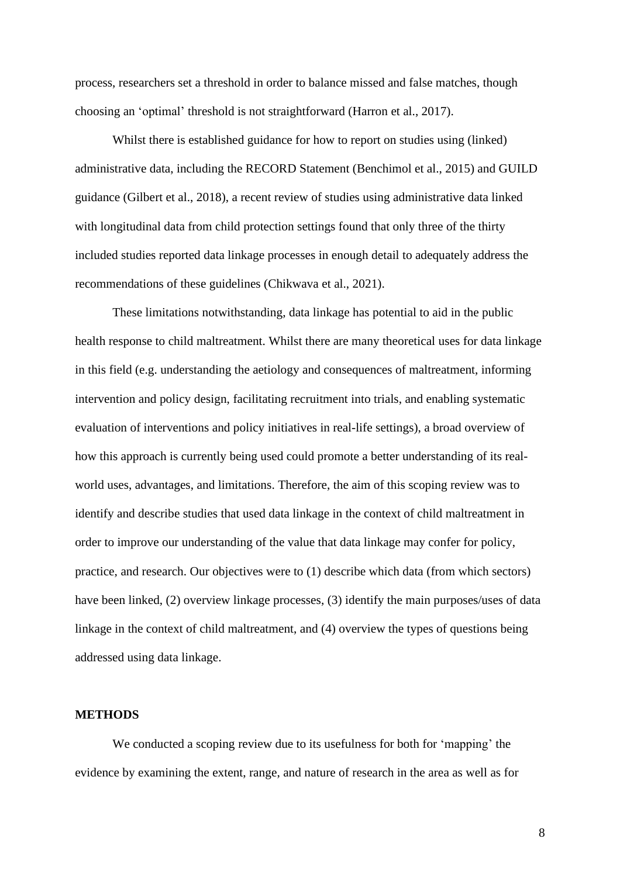process, researchers set a threshold in order to balance missed and false matches, though choosing an 'optimal' threshold is not straightforward (Harron et al., 2017).

Whilst there is established guidance for how to report on studies using (linked) administrative data, including the RECORD Statement (Benchimol et al., 2015) and GUILD guidance (Gilbert et al., 2018), a recent review of studies using administrative data linked with longitudinal data from child protection settings found that only three of the thirty included studies reported data linkage processes in enough detail to adequately address the recommendations of these guidelines (Chikwava et al., 2021).

These limitations notwithstanding, data linkage has potential to aid in the public health response to child maltreatment. Whilst there are many theoretical uses for data linkage in this field (e.g. understanding the aetiology and consequences of maltreatment, informing intervention and policy design, facilitating recruitment into trials, and enabling systematic evaluation of interventions and policy initiatives in real-life settings), a broad overview of how this approach is currently being used could promote a better understanding of its realworld uses, advantages, and limitations. Therefore, the aim of this scoping review was to identify and describe studies that used data linkage in the context of child maltreatment in order to improve our understanding of the value that data linkage may confer for policy, practice, and research. Our objectives were to (1) describe which data (from which sectors) have been linked, (2) overview linkage processes, (3) identify the main purposes/uses of data linkage in the context of child maltreatment, and (4) overview the types of questions being addressed using data linkage.

# **METHODS**

We conducted a scoping review due to its usefulness for both for 'mapping' the evidence by examining the extent, range, and nature of research in the area as well as for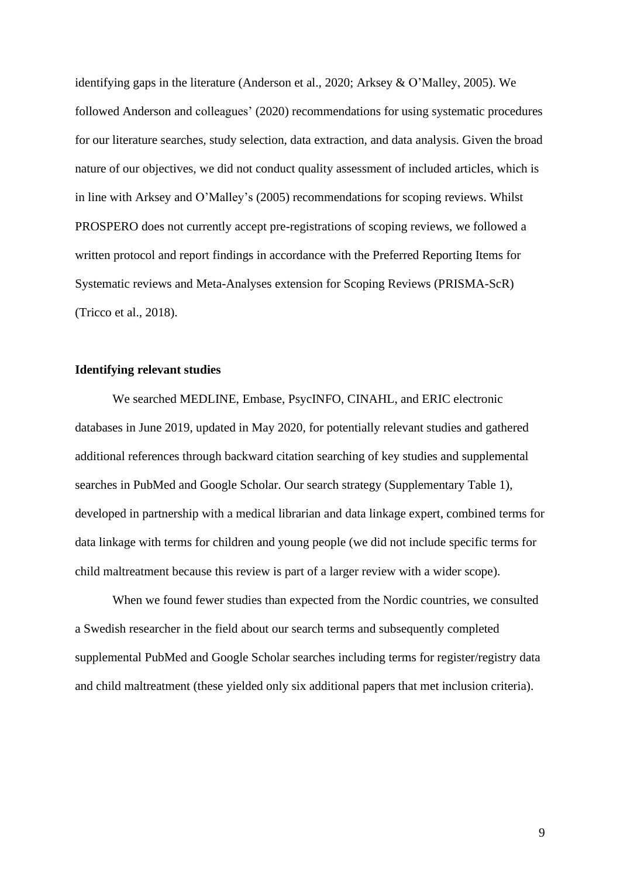identifying gaps in the literature (Anderson et al., 2020; Arksey & O'Malley, 2005). We followed Anderson and colleagues' (2020) recommendations for using systematic procedures for our literature searches, study selection, data extraction, and data analysis. Given the broad nature of our objectives, we did not conduct quality assessment of included articles, which is in line with Arksey and O'Malley's (2005) recommendations for scoping reviews. Whilst PROSPERO does not currently accept pre-registrations of scoping reviews, we followed a written protocol and report findings in accordance with the Preferred Reporting Items for Systematic reviews and Meta-Analyses extension for Scoping Reviews (PRISMA-ScR) (Tricco et al., 2018).

## **Identifying relevant studies**

We searched MEDLINE, Embase, PsycINFO, CINAHL, and ERIC electronic databases in June 2019, updated in May 2020, for potentially relevant studies and gathered additional references through backward citation searching of key studies and supplemental searches in PubMed and Google Scholar. Our search strategy (Supplementary Table 1), developed in partnership with a medical librarian and data linkage expert, combined terms for data linkage with terms for children and young people (we did not include specific terms for child maltreatment because this review is part of a larger review with a wider scope).

When we found fewer studies than expected from the Nordic countries, we consulted a Swedish researcher in the field about our search terms and subsequently completed supplemental PubMed and Google Scholar searches including terms for register/registry data and child maltreatment (these yielded only six additional papers that met inclusion criteria).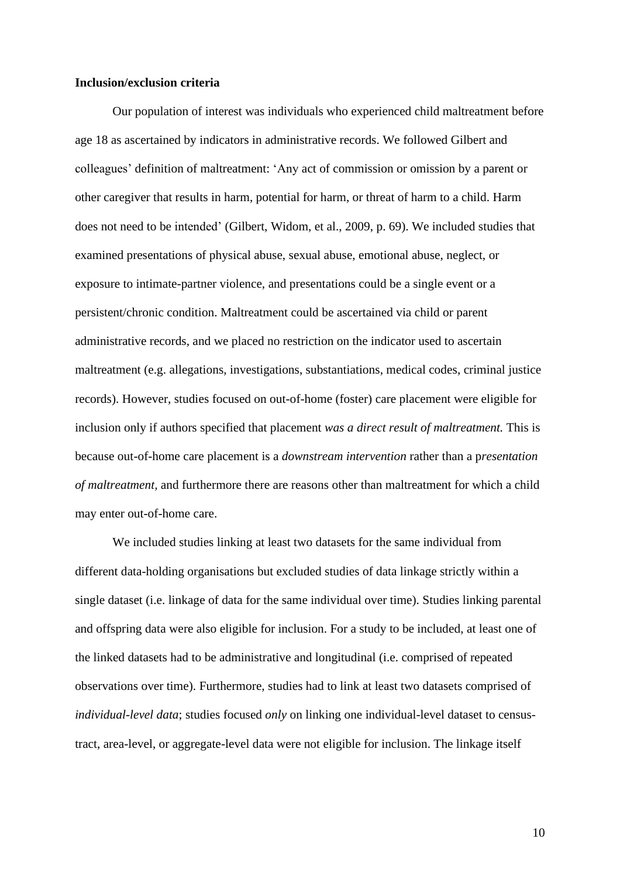#### **Inclusion/exclusion criteria**

Our population of interest was individuals who experienced child maltreatment before age 18 as ascertained by indicators in administrative records. We followed Gilbert and colleagues' definition of maltreatment: 'Any act of commission or omission by a parent or other caregiver that results in harm, potential for harm, or threat of harm to a child. Harm does not need to be intended' (Gilbert, Widom, et al., 2009, p. 69). We included studies that examined presentations of physical abuse, sexual abuse, emotional abuse, neglect, or exposure to intimate-partner violence, and presentations could be a single event or a persistent/chronic condition. Maltreatment could be ascertained via child or parent administrative records, and we placed no restriction on the indicator used to ascertain maltreatment (e.g. allegations, investigations, substantiations, medical codes, criminal justice records). However, studies focused on out-of-home (foster) care placement were eligible for inclusion only if authors specified that placement *was a direct result of maltreatment.* This is because out-of-home care placement is a *downstream intervention* rather than a p*resentation of maltreatment,* and furthermore there are reasons other than maltreatment for which a child may enter out-of-home care.

We included studies linking at least two datasets for the same individual from different data-holding organisations but excluded studies of data linkage strictly within a single dataset (i.e. linkage of data for the same individual over time). Studies linking parental and offspring data were also eligible for inclusion. For a study to be included, at least one of the linked datasets had to be administrative and longitudinal (i.e. comprised of repeated observations over time). Furthermore, studies had to link at least two datasets comprised of *individual-level data*; studies focused *only* on linking one individual-level dataset to censustract, area-level, or aggregate-level data were not eligible for inclusion. The linkage itself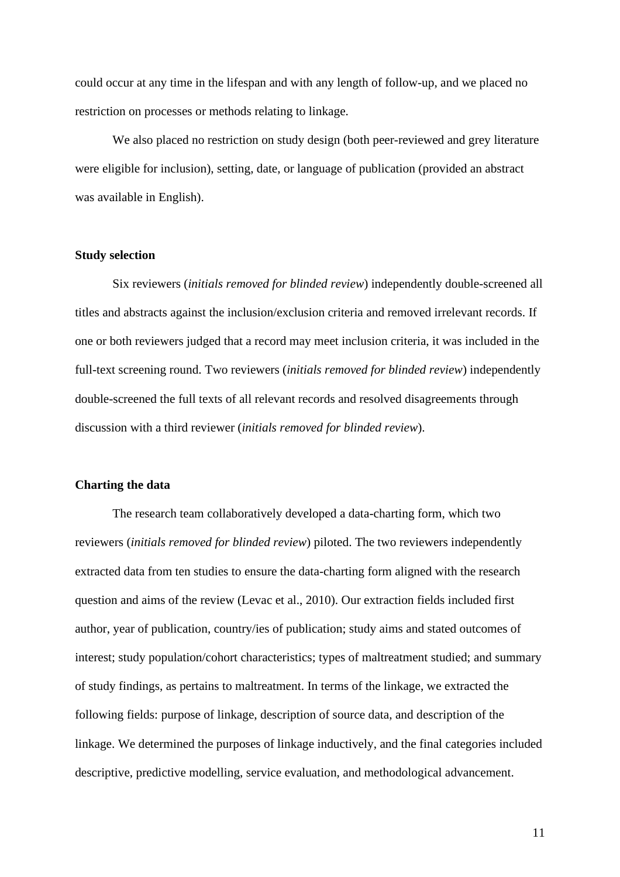could occur at any time in the lifespan and with any length of follow-up, and we placed no restriction on processes or methods relating to linkage.

We also placed no restriction on study design (both peer-reviewed and grey literature were eligible for inclusion), setting, date, or language of publication (provided an abstract was available in English).

## **Study selection**

Six reviewers (*initials removed for blinded review*) independently double-screened all titles and abstracts against the inclusion/exclusion criteria and removed irrelevant records. If one or both reviewers judged that a record may meet inclusion criteria, it was included in the full-text screening round. Two reviewers (*initials removed for blinded review*) independently double-screened the full texts of all relevant records and resolved disagreements through discussion with a third reviewer (*initials removed for blinded review*).

## **Charting the data**

The research team collaboratively developed a data-charting form, which two reviewers (*initials removed for blinded review*) piloted. The two reviewers independently extracted data from ten studies to ensure the data-charting form aligned with the research question and aims of the review (Levac et al., 2010). Our extraction fields included first author, year of publication, country/ies of publication; study aims and stated outcomes of interest; study population/cohort characteristics; types of maltreatment studied; and summary of study findings, as pertains to maltreatment. In terms of the linkage, we extracted the following fields: purpose of linkage, description of source data, and description of the linkage. We determined the purposes of linkage inductively, and the final categories included descriptive, predictive modelling, service evaluation, and methodological advancement.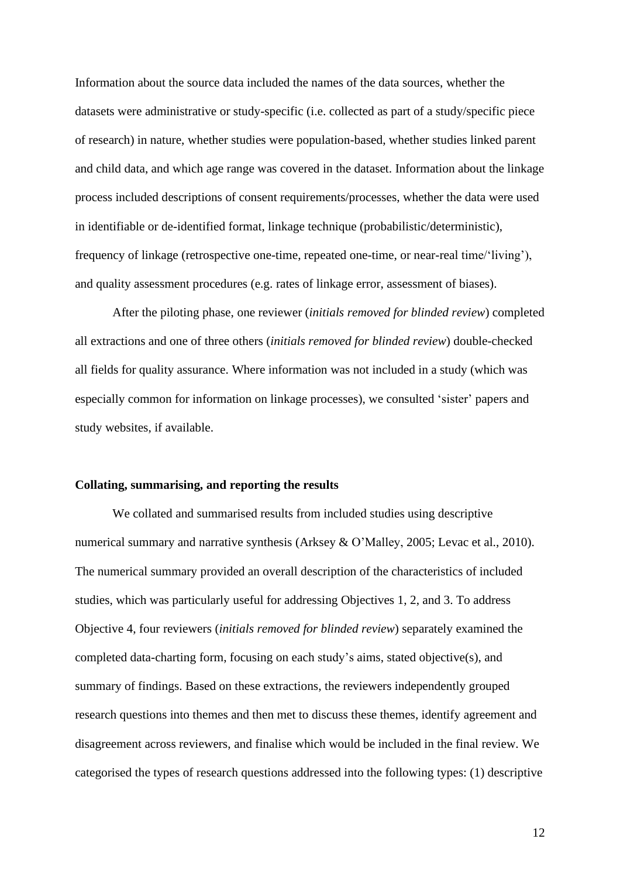Information about the source data included the names of the data sources, whether the datasets were administrative or study-specific (i.e. collected as part of a study/specific piece of research) in nature, whether studies were population-based, whether studies linked parent and child data, and which age range was covered in the dataset. Information about the linkage process included descriptions of consent requirements/processes, whether the data were used in identifiable or de-identified format, linkage technique (probabilistic/deterministic), frequency of linkage (retrospective one-time, repeated one-time, or near-real time/'living'), and quality assessment procedures (e.g. rates of linkage error, assessment of biases).

After the piloting phase, one reviewer (*initials removed for blinded review*) completed all extractions and one of three others (*initials removed for blinded review*) double-checked all fields for quality assurance. Where information was not included in a study (which was especially common for information on linkage processes), we consulted 'sister' papers and study websites, if available.

#### **Collating, summarising, and reporting the results**

We collated and summarised results from included studies using descriptive numerical summary and narrative synthesis (Arksey & O'Malley, 2005; Levac et al., 2010). The numerical summary provided an overall description of the characteristics of included studies, which was particularly useful for addressing Objectives 1, 2, and 3. To address Objective 4, four reviewers (*initials removed for blinded review*) separately examined the completed data-charting form, focusing on each study's aims, stated objective(s), and summary of findings. Based on these extractions, the reviewers independently grouped research questions into themes and then met to discuss these themes, identify agreement and disagreement across reviewers, and finalise which would be included in the final review. We categorised the types of research questions addressed into the following types: (1) descriptive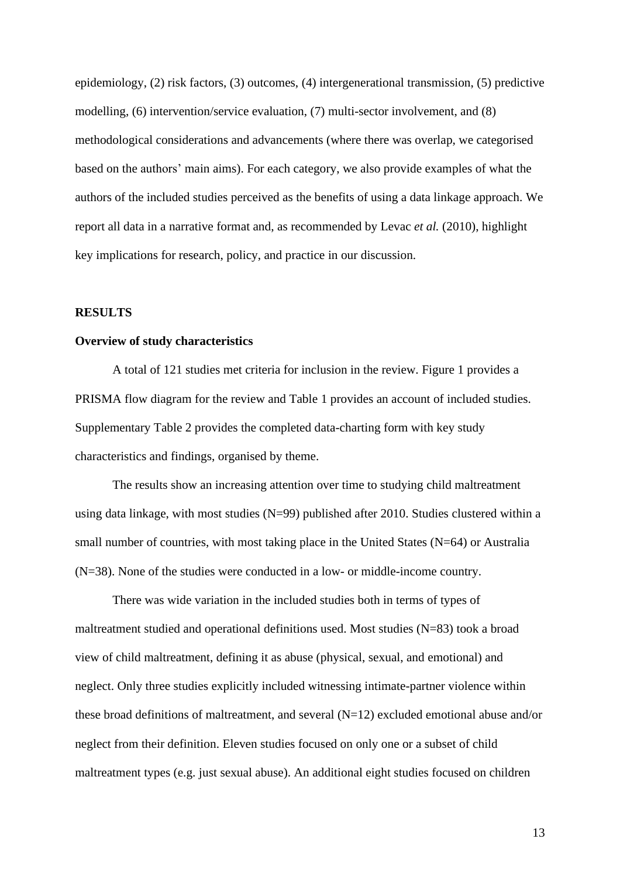epidemiology, (2) risk factors, (3) outcomes, (4) intergenerational transmission, (5) predictive modelling, (6) intervention/service evaluation, (7) multi-sector involvement, and (8) methodological considerations and advancements (where there was overlap, we categorised based on the authors' main aims). For each category, we also provide examples of what the authors of the included studies perceived as the benefits of using a data linkage approach. We report all data in a narrative format and, as recommended by Levac *et al.* (2010), highlight key implications for research, policy, and practice in our discussion.

### **RESULTS**

#### **Overview of study characteristics**

A total of 121 studies met criteria for inclusion in the review. Figure 1 provides a PRISMA flow diagram for the review and Table 1 provides an account of included studies. Supplementary Table 2 provides the completed data-charting form with key study characteristics and findings, organised by theme.

The results show an increasing attention over time to studying child maltreatment using data linkage, with most studies (N=99) published after 2010. Studies clustered within a small number of countries, with most taking place in the United States (N=64) or Australia (N=38). None of the studies were conducted in a low- or middle-income country.

There was wide variation in the included studies both in terms of types of maltreatment studied and operational definitions used. Most studies (N=83) took a broad view of child maltreatment, defining it as abuse (physical, sexual, and emotional) and neglect. Only three studies explicitly included witnessing intimate-partner violence within these broad definitions of maltreatment, and several  $(N=12)$  excluded emotional abuse and/or neglect from their definition. Eleven studies focused on only one or a subset of child maltreatment types (e.g. just sexual abuse). An additional eight studies focused on children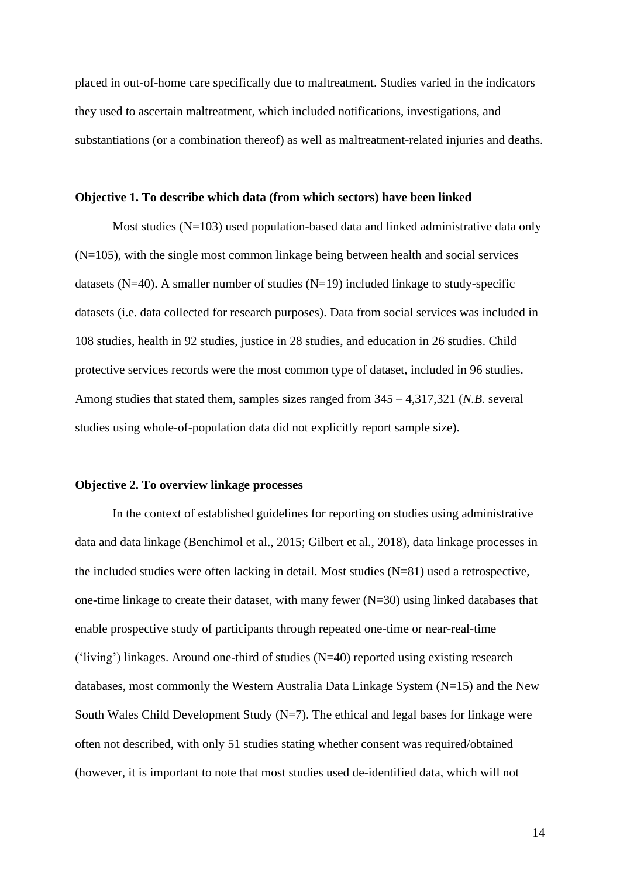placed in out-of-home care specifically due to maltreatment. Studies varied in the indicators they used to ascertain maltreatment, which included notifications, investigations, and substantiations (or a combination thereof) as well as maltreatment-related injuries and deaths.

#### **Objective 1. To describe which data (from which sectors) have been linked**

Most studies (N=103) used population-based data and linked administrative data only (N=105), with the single most common linkage being between health and social services datasets ( $N=40$ ). A smaller number of studies ( $N=19$ ) included linkage to study-specific datasets (i.e. data collected for research purposes). Data from social services was included in 108 studies, health in 92 studies, justice in 28 studies, and education in 26 studies. Child protective services records were the most common type of dataset, included in 96 studies. Among studies that stated them, samples sizes ranged from 345 – 4,317,321 (*N.B.* several studies using whole-of-population data did not explicitly report sample size).

### **Objective 2. To overview linkage processes**

In the context of established guidelines for reporting on studies using administrative data and data linkage (Benchimol et al., 2015; Gilbert et al., 2018), data linkage processes in the included studies were often lacking in detail. Most studies (N=81) used a retrospective, one-time linkage to create their dataset, with many fewer  $(N=30)$  using linked databases that enable prospective study of participants through repeated one-time or near-real-time ('living') linkages. Around one-third of studies (N=40) reported using existing research databases, most commonly the Western Australia Data Linkage System (N=15) and the New South Wales Child Development Study  $(N=7)$ . The ethical and legal bases for linkage were often not described, with only 51 studies stating whether consent was required/obtained (however, it is important to note that most studies used de-identified data, which will not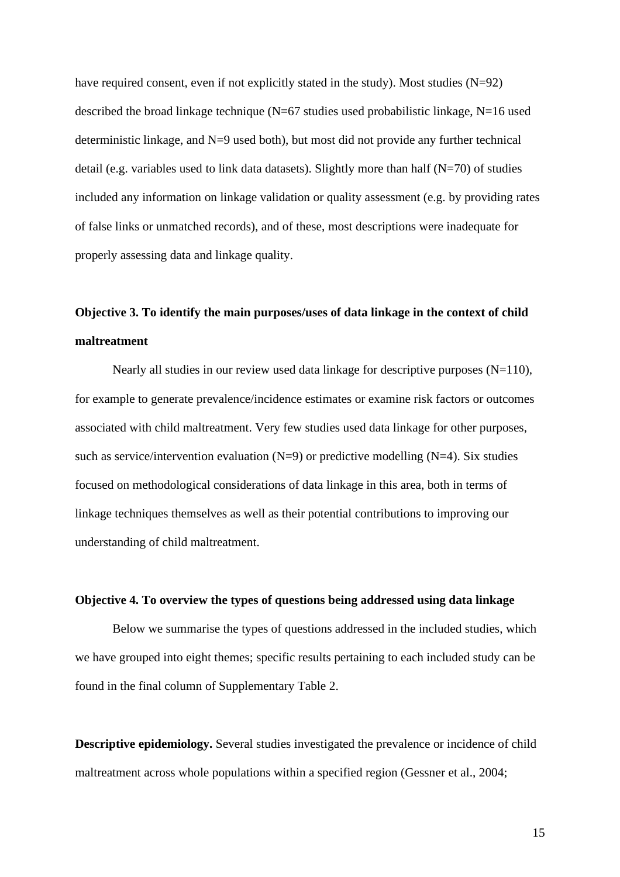have required consent, even if not explicitly stated in the study). Most studies (N=92) described the broad linkage technique ( $N=67$  studies used probabilistic linkage,  $N=16$  used deterministic linkage, and  $N=9$  used both), but most did not provide any further technical detail (e.g. variables used to link data datasets). Slightly more than half  $(N=70)$  of studies included any information on linkage validation or quality assessment (e.g. by providing rates of false links or unmatched records), and of these, most descriptions were inadequate for properly assessing data and linkage quality.

# **Objective 3. To identify the main purposes/uses of data linkage in the context of child maltreatment**

Nearly all studies in our review used data linkage for descriptive purposes (N=110), for example to generate prevalence/incidence estimates or examine risk factors or outcomes associated with child maltreatment. Very few studies used data linkage for other purposes, such as service/intervention evaluation  $(N=9)$  or predictive modelling  $(N=4)$ . Six studies focused on methodological considerations of data linkage in this area, both in terms of linkage techniques themselves as well as their potential contributions to improving our understanding of child maltreatment.

## **Objective 4. To overview the types of questions being addressed using data linkage**

Below we summarise the types of questions addressed in the included studies, which we have grouped into eight themes; specific results pertaining to each included study can be found in the final column of Supplementary Table 2.

**Descriptive epidemiology.** Several studies investigated the prevalence or incidence of child maltreatment across whole populations within a specified region (Gessner et al., 2004;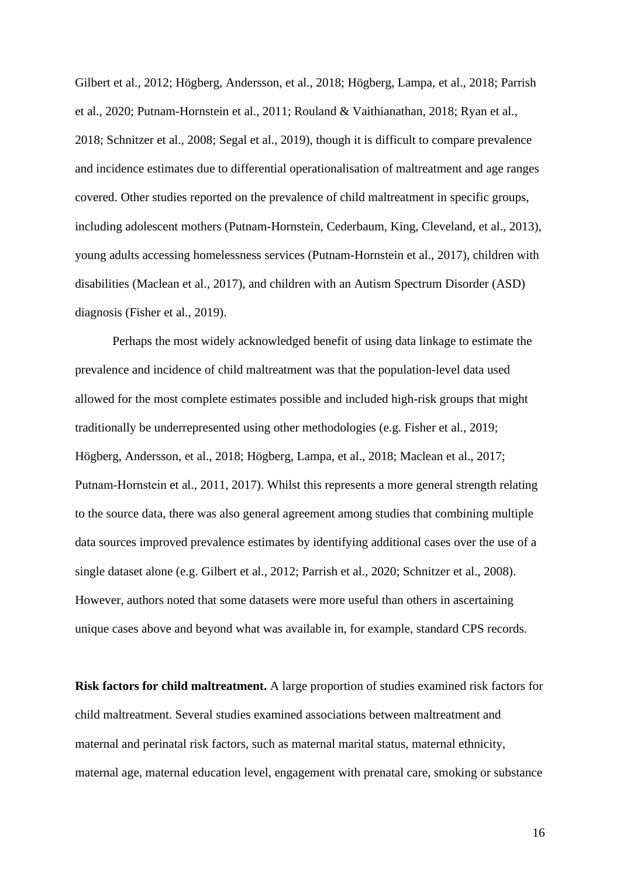Gilbert et al., 2012; Högberg, Andersson, et al., 2018; Högberg, Lampa, et al., 2018; Parrish et al., 2020; Putnam-Hornstein et al., 2011; Rouland & Vaithianathan, 2018; Ryan et al., 2018; Schnitzer et al., 2008; Segal et al., 2019), though it is difficult to compare prevalence and incidence estimates due to differential operationalisation of maltreatment and age ranges covered. Other studies reported on the prevalence of child maltreatment in specific groups, including adolescent mothers (Putnam-Hornstein, Cederbaum, King, Cleveland, et al., 2013), young adults accessing homelessness services (Putnam-Hornstein et al., 2017), children with disabilities (Maclean et al., 2017), and children with an Autism Spectrum Disorder (ASD) diagnosis (Fisher et al., 2019).

Perhaps the most widely acknowledged benefit of using data linkage to estimate the prevalence and incidence of child maltreatment was that the population-level data used allowed for the most complete estimates possible and included high-risk groups that might traditionally be underrepresented using other methodologies (e.g. Fisher et al., 2019; Högberg, Andersson, et al., 2018; Högberg, Lampa, et al., 2018; Maclean et al., 2017; Putnam‐Hornstein et al., 2011, 2017). Whilst this represents a more general strength relating to the source data, there was also general agreement among studies that combining multiple data sources improved prevalence estimates by identifying additional cases over the use of a single dataset alone (e.g. Gilbert et al., 2012; Parrish et al., 2020; Schnitzer et al., 2008). However, authors noted that some datasets were more useful than others in ascertaining unique cases above and beyond what was available in, for example, standard CPS records.

**Risk factors for child maltreatment.** A large proportion of studies examined risk factors for child maltreatment. Several studies examined associations between maltreatment and maternal and perinatal risk factors, such as maternal marital status, maternal ethnicity, maternal age, maternal education level, engagement with prenatal care, smoking or substance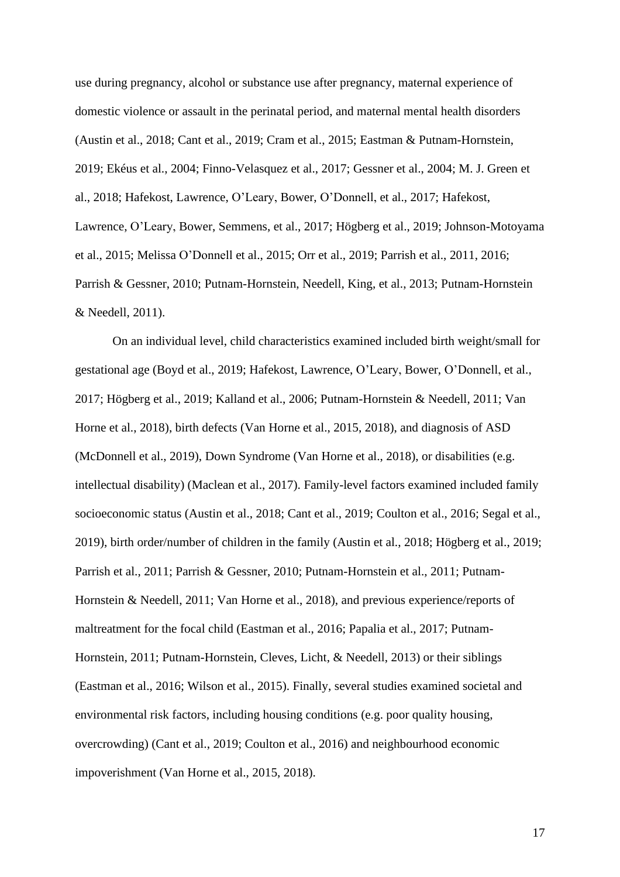use during pregnancy, alcohol or substance use after pregnancy, maternal experience of domestic violence or assault in the perinatal period, and maternal mental health disorders (Austin et al., 2018; Cant et al., 2019; Cram et al., 2015; Eastman & Putnam-Hornstein, 2019; Ekéus et al., 2004; Finno-Velasquez et al., 2017; Gessner et al., 2004; M. J. Green et al., 2018; Hafekost, Lawrence, O'Leary, Bower, O'Donnell, et al., 2017; Hafekost, Lawrence, O'Leary, Bower, Semmens, et al., 2017; Högberg et al., 2019; Johnson-Motoyama et al., 2015; Melissa O'Donnell et al., 2015; Orr et al., 2019; Parrish et al., 2011, 2016; Parrish & Gessner, 2010; Putnam-Hornstein, Needell, King, et al., 2013; Putnam-Hornstein & Needell, 2011).

On an individual level, child characteristics examined included birth weight/small for gestational age (Boyd et al., 2019; Hafekost, Lawrence, O'Leary, Bower, O'Donnell, et al., 2017; Högberg et al., 2019; Kalland et al., 2006; Putnam-Hornstein & Needell, 2011; Van Horne et al., 2018), birth defects (Van Horne et al., 2015, 2018), and diagnosis of ASD (McDonnell et al., 2019), Down Syndrome (Van Horne et al., 2018), or disabilities (e.g. intellectual disability) (Maclean et al., 2017). Family-level factors examined included family socioeconomic status (Austin et al., 2018; Cant et al., 2019; Coulton et al., 2016; Segal et al., 2019), birth order/number of children in the family (Austin et al., 2018; Högberg et al., 2019; Parrish et al., 2011; Parrish & Gessner, 2010; Putnam-Hornstein et al., 2011; Putnam-Hornstein & Needell, 2011; Van Horne et al., 2018), and previous experience/reports of maltreatment for the focal child (Eastman et al., 2016; Papalia et al., 2017; Putnam-Hornstein, 2011; Putnam-Hornstein, Cleves, Licht, & Needell, 2013) or their siblings (Eastman et al., 2016; Wilson et al., 2015). Finally, several studies examined societal and environmental risk factors, including housing conditions (e.g. poor quality housing, overcrowding) (Cant et al., 2019; Coulton et al., 2016) and neighbourhood economic impoverishment (Van Horne et al., 2015, 2018).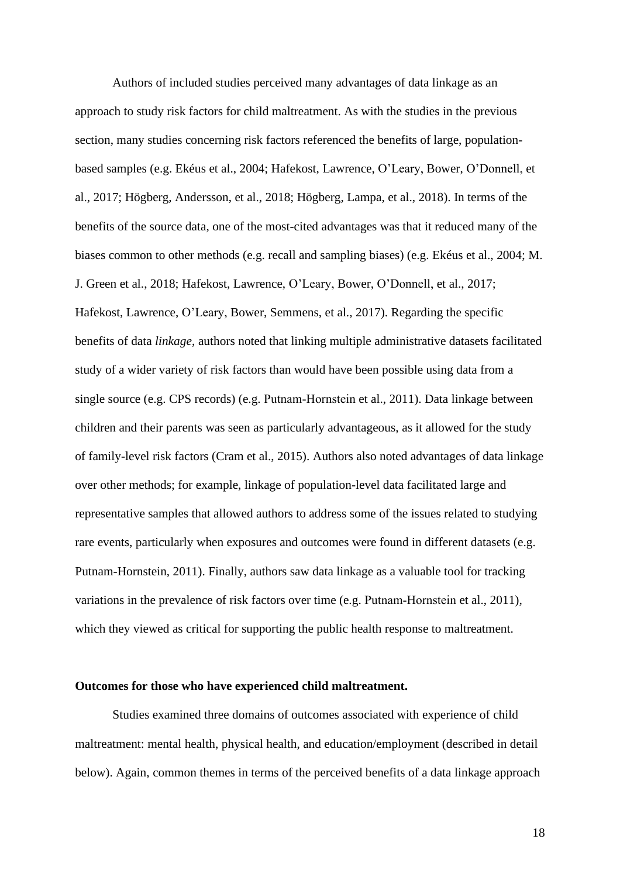Authors of included studies perceived many advantages of data linkage as an approach to study risk factors for child maltreatment. As with the studies in the previous section, many studies concerning risk factors referenced the benefits of large, populationbased samples (e.g. Ekéus et al., 2004; Hafekost, Lawrence, O'Leary, Bower, O'Donnell, et al., 2017; Högberg, Andersson, et al., 2018; Högberg, Lampa, et al., 2018). In terms of the benefits of the source data, one of the most-cited advantages was that it reduced many of the biases common to other methods (e.g. recall and sampling biases) (e.g. Ekéus et al., 2004; M. J. Green et al., 2018; Hafekost, Lawrence, O'Leary, Bower, O'Donnell, et al., 2017; Hafekost, Lawrence, O'Leary, Bower, Semmens, et al., 2017). Regarding the specific benefits of data *linkage*, authors noted that linking multiple administrative datasets facilitated study of a wider variety of risk factors than would have been possible using data from a single source (e.g. CPS records) (e.g. Putnam‐Hornstein et al., 2011). Data linkage between children and their parents was seen as particularly advantageous, as it allowed for the study of family-level risk factors (Cram et al., 2015). Authors also noted advantages of data linkage over other methods; for example, linkage of population-level data facilitated large and representative samples that allowed authors to address some of the issues related to studying rare events, particularly when exposures and outcomes were found in different datasets (e.g. Putnam-Hornstein, 2011). Finally, authors saw data linkage as a valuable tool for tracking variations in the prevalence of risk factors over time (e.g. Putnam-Hornstein et al., 2011), which they viewed as critical for supporting the public health response to maltreatment.

#### **Outcomes for those who have experienced child maltreatment.**

Studies examined three domains of outcomes associated with experience of child maltreatment: mental health, physical health, and education/employment (described in detail below). Again, common themes in terms of the perceived benefits of a data linkage approach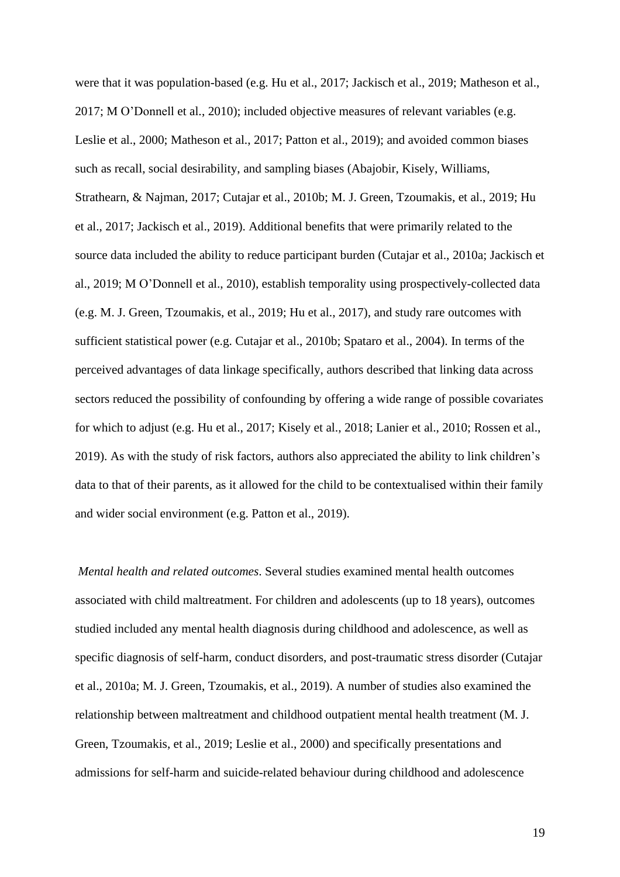were that it was population-based (e.g. Hu et al., 2017; Jackisch et al., 2019; Matheson et al., 2017; M O'Donnell et al., 2010); included objective measures of relevant variables (e.g. Leslie et al., 2000; Matheson et al., 2017; Patton et al., 2019); and avoided common biases such as recall, social desirability, and sampling biases (Abajobir, Kisely, Williams, Strathearn, & Najman, 2017; Cutajar et al., 2010b; M. J. Green, Tzoumakis, et al., 2019; Hu et al., 2017; Jackisch et al., 2019). Additional benefits that were primarily related to the source data included the ability to reduce participant burden (Cutajar et al., 2010a; Jackisch et al., 2019; M O'Donnell et al., 2010), establish temporality using prospectively-collected data (e.g. M. J. Green, Tzoumakis, et al., 2019; Hu et al., 2017), and study rare outcomes with sufficient statistical power (e.g. Cutajar et al., 2010b; Spataro et al., 2004). In terms of the perceived advantages of data linkage specifically, authors described that linking data across sectors reduced the possibility of confounding by offering a wide range of possible covariates for which to adjust (e.g. Hu et al., 2017; Kisely et al., 2018; Lanier et al., 2010; Rossen et al., 2019). As with the study of risk factors, authors also appreciated the ability to link children's data to that of their parents, as it allowed for the child to be contextualised within their family and wider social environment (e.g. Patton et al., 2019).

*Mental health and related outcomes*. Several studies examined mental health outcomes associated with child maltreatment. For children and adolescents (up to 18 years), outcomes studied included any mental health diagnosis during childhood and adolescence, as well as specific diagnosis of self-harm, conduct disorders, and post-traumatic stress disorder (Cutajar et al., 2010a; M. J. Green, Tzoumakis, et al., 2019). A number of studies also examined the relationship between maltreatment and childhood outpatient mental health treatment (M. J. Green, Tzoumakis, et al., 2019; Leslie et al., 2000) and specifically presentations and admissions for self-harm and suicide-related behaviour during childhood and adolescence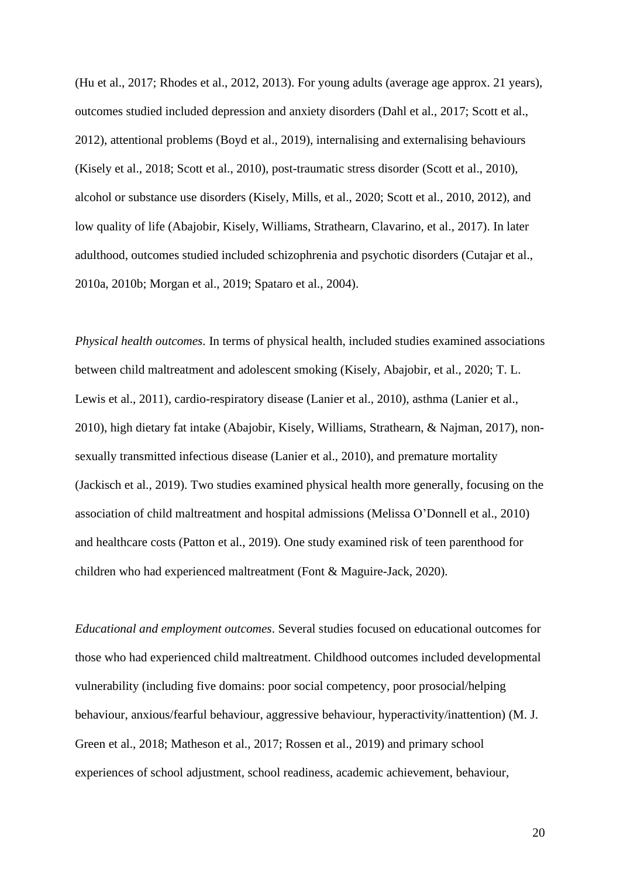(Hu et al., 2017; Rhodes et al., 2012, 2013). For young adults (average age approx. 21 years), outcomes studied included depression and anxiety disorders (Dahl et al., 2017; Scott et al., 2012), attentional problems (Boyd et al., 2019), internalising and externalising behaviours (Kisely et al., 2018; Scott et al., 2010), post-traumatic stress disorder (Scott et al., 2010), alcohol or substance use disorders (Kisely, Mills, et al., 2020; Scott et al., 2010, 2012), and low quality of life (Abajobir, Kisely, Williams, Strathearn, Clavarino, et al., 2017). In later adulthood, outcomes studied included schizophrenia and psychotic disorders (Cutajar et al., 2010a, 2010b; Morgan et al., 2019; Spataro et al., 2004).

*Physical health outcomes.* In terms of physical health, included studies examined associations between child maltreatment and adolescent smoking (Kisely, Abajobir, et al., 2020; T. L. Lewis et al., 2011), cardio-respiratory disease (Lanier et al., 2010), asthma (Lanier et al., 2010), high dietary fat intake (Abajobir, Kisely, Williams, Strathearn, & Najman, 2017), nonsexually transmitted infectious disease (Lanier et al., 2010), and premature mortality (Jackisch et al., 2019). Two studies examined physical health more generally, focusing on the association of child maltreatment and hospital admissions (Melissa O'Donnell et al., 2010) and healthcare costs (Patton et al., 2019). One study examined risk of teen parenthood for children who had experienced maltreatment (Font & Maguire-Jack, 2020).

*Educational and employment outcomes*. Several studies focused on educational outcomes for those who had experienced child maltreatment. Childhood outcomes included developmental vulnerability (including five domains: poor social competency, poor prosocial/helping behaviour, anxious/fearful behaviour, aggressive behaviour, hyperactivity/inattention) (M. J. Green et al., 2018; Matheson et al., 2017; Rossen et al., 2019) and primary school experiences of school adjustment, school readiness, academic achievement, behaviour,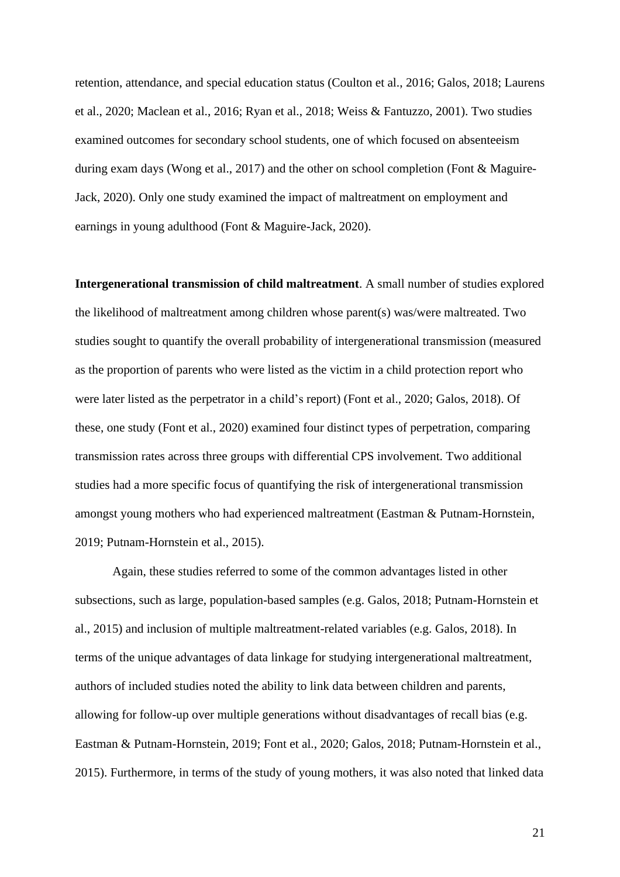retention, attendance, and special education status (Coulton et al., 2016; Galos, 2018; Laurens et al., 2020; Maclean et al., 2016; Ryan et al., 2018; Weiss & Fantuzzo, 2001). Two studies examined outcomes for secondary school students, one of which focused on absenteeism during exam days (Wong et al., 2017) and the other on school completion (Font & Maguire-Jack, 2020). Only one study examined the impact of maltreatment on employment and earnings in young adulthood (Font & Maguire-Jack, 2020).

**Intergenerational transmission of child maltreatment**. A small number of studies explored the likelihood of maltreatment among children whose parent(s) was/were maltreated. Two studies sought to quantify the overall probability of intergenerational transmission (measured as the proportion of parents who were listed as the victim in a child protection report who were later listed as the perpetrator in a child's report) (Font et al., 2020; Galos, 2018). Of these, one study (Font et al., 2020) examined four distinct types of perpetration, comparing transmission rates across three groups with differential CPS involvement. Two additional studies had a more specific focus of quantifying the risk of intergenerational transmission amongst young mothers who had experienced maltreatment (Eastman & Putnam-Hornstein, 2019; Putnam-Hornstein et al., 2015).

Again, these studies referred to some of the common advantages listed in other subsections, such as large, population-based samples (e.g. Galos, 2018; Putnam-Hornstein et al., 2015) and inclusion of multiple maltreatment-related variables (e.g. Galos, 2018). In terms of the unique advantages of data linkage for studying intergenerational maltreatment, authors of included studies noted the ability to link data between children and parents, allowing for follow-up over multiple generations without disadvantages of recall bias (e.g. Eastman & Putnam-Hornstein, 2019; Font et al., 2020; Galos, 2018; Putnam-Hornstein et al., 2015). Furthermore, in terms of the study of young mothers, it was also noted that linked data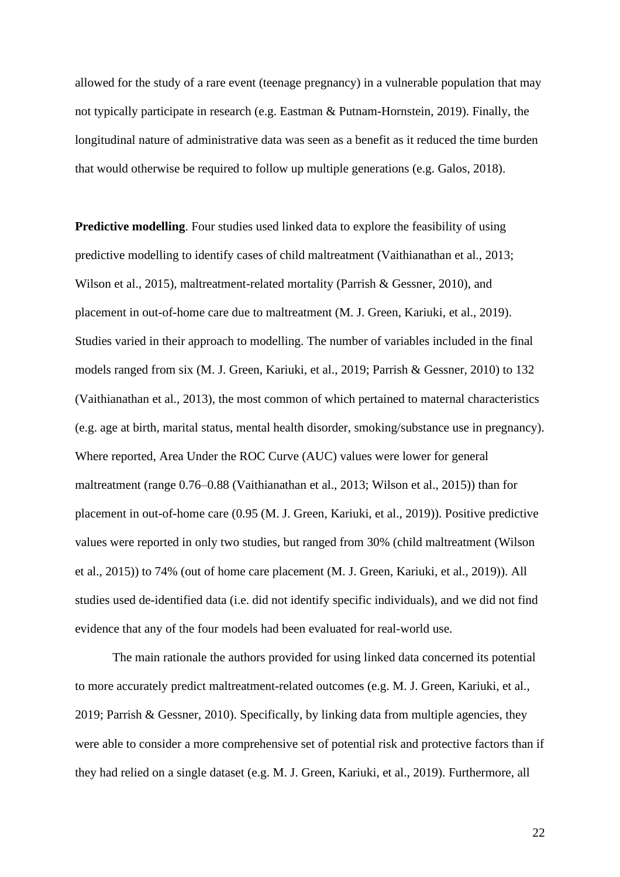allowed for the study of a rare event (teenage pregnancy) in a vulnerable population that may not typically participate in research (e.g. Eastman & Putnam-Hornstein, 2019). Finally, the longitudinal nature of administrative data was seen as a benefit as it reduced the time burden that would otherwise be required to follow up multiple generations (e.g. Galos, 2018).

**Predictive modelling**. Four studies used linked data to explore the feasibility of using predictive modelling to identify cases of child maltreatment (Vaithianathan et al., 2013; Wilson et al., 2015), maltreatment-related mortality (Parrish & Gessner, 2010), and placement in out-of-home care due to maltreatment (M. J. Green, Kariuki, et al., 2019). Studies varied in their approach to modelling. The number of variables included in the final models ranged from six (M. J. Green, Kariuki, et al., 2019; Parrish & Gessner, 2010) to 132 (Vaithianathan et al., 2013), the most common of which pertained to maternal characteristics (e.g. age at birth, marital status, mental health disorder, smoking/substance use in pregnancy). Where reported, Area Under the ROC Curve (AUC) values were lower for general maltreatment (range 0.76–0.88 (Vaithianathan et al., 2013; Wilson et al., 2015)) than for placement in out-of-home care (0.95 (M. J. Green, Kariuki, et al., 2019)). Positive predictive values were reported in only two studies, but ranged from 30% (child maltreatment (Wilson et al., 2015)) to 74% (out of home care placement (M. J. Green, Kariuki, et al., 2019)). All studies used de-identified data (i.e. did not identify specific individuals), and we did not find evidence that any of the four models had been evaluated for real-world use.

The main rationale the authors provided for using linked data concerned its potential to more accurately predict maltreatment-related outcomes (e.g. M. J. Green, Kariuki, et al., 2019; Parrish & Gessner, 2010). Specifically, by linking data from multiple agencies, they were able to consider a more comprehensive set of potential risk and protective factors than if they had relied on a single dataset (e.g. M. J. Green, Kariuki, et al., 2019). Furthermore, all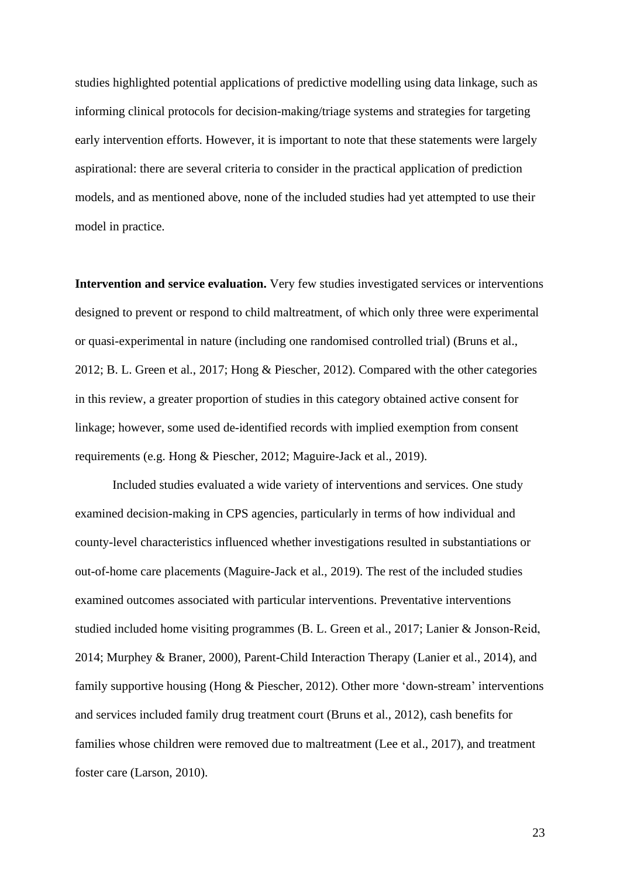studies highlighted potential applications of predictive modelling using data linkage, such as informing clinical protocols for decision-making/triage systems and strategies for targeting early intervention efforts. However, it is important to note that these statements were largely aspirational: there are several criteria to consider in the practical application of prediction models, and as mentioned above, none of the included studies had yet attempted to use their model in practice.

**Intervention and service evaluation.** Very few studies investigated services or interventions designed to prevent or respond to child maltreatment, of which only three were experimental or quasi-experimental in nature (including one randomised controlled trial) (Bruns et al., 2012; B. L. Green et al., 2017; Hong & Piescher, 2012). Compared with the other categories in this review, a greater proportion of studies in this category obtained active consent for linkage; however, some used de-identified records with implied exemption from consent requirements (e.g. Hong & Piescher, 2012; Maguire-Jack et al., 2019).

Included studies evaluated a wide variety of interventions and services. One study examined decision-making in CPS agencies, particularly in terms of how individual and county-level characteristics influenced whether investigations resulted in substantiations or out-of-home care placements (Maguire-Jack et al., 2019). The rest of the included studies examined outcomes associated with particular interventions. Preventative interventions studied included home visiting programmes (B. L. Green et al., 2017; Lanier & Jonson‐Reid, 2014; Murphey & Braner, 2000), Parent-Child Interaction Therapy (Lanier et al., 2014), and family supportive housing (Hong & Piescher, 2012). Other more 'down-stream' interventions and services included family drug treatment court (Bruns et al., 2012), cash benefits for families whose children were removed due to maltreatment (Lee et al., 2017), and treatment foster care (Larson, 2010).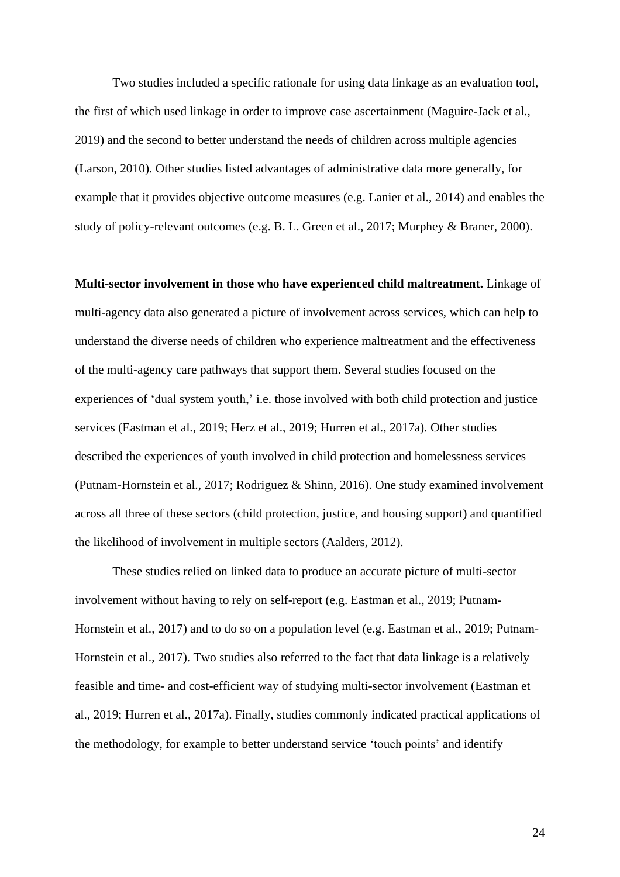Two studies included a specific rationale for using data linkage as an evaluation tool, the first of which used linkage in order to improve case ascertainment (Maguire-Jack et al., 2019) and the second to better understand the needs of children across multiple agencies (Larson, 2010). Other studies listed advantages of administrative data more generally, for example that it provides objective outcome measures (e.g. Lanier et al., 2014) and enables the study of policy-relevant outcomes (e.g. B. L. Green et al., 2017; Murphey & Braner, 2000).

**Multi-sector involvement in those who have experienced child maltreatment.** Linkage of multi-agency data also generated a picture of involvement across services, which can help to understand the diverse needs of children who experience maltreatment and the effectiveness of the multi-agency care pathways that support them. Several studies focused on the experiences of 'dual system youth,' i.e. those involved with both child protection and justice services (Eastman et al., 2019; Herz et al., 2019; Hurren et al., 2017a). Other studies described the experiences of youth involved in child protection and homelessness services (Putnam-Hornstein et al., 2017; Rodriguez & Shinn, 2016). One study examined involvement across all three of these sectors (child protection, justice, and housing support) and quantified the likelihood of involvement in multiple sectors (Aalders, 2012).

These studies relied on linked data to produce an accurate picture of multi-sector involvement without having to rely on self-report (e.g. Eastman et al., 2019; Putnam‐ Hornstein et al., 2017) and to do so on a population level (e.g. Eastman et al., 2019; Putnam‐ Hornstein et al., 2017). Two studies also referred to the fact that data linkage is a relatively feasible and time- and cost-efficient way of studying multi-sector involvement (Eastman et al., 2019; Hurren et al., 2017a). Finally, studies commonly indicated practical applications of the methodology, for example to better understand service 'touch points' and identify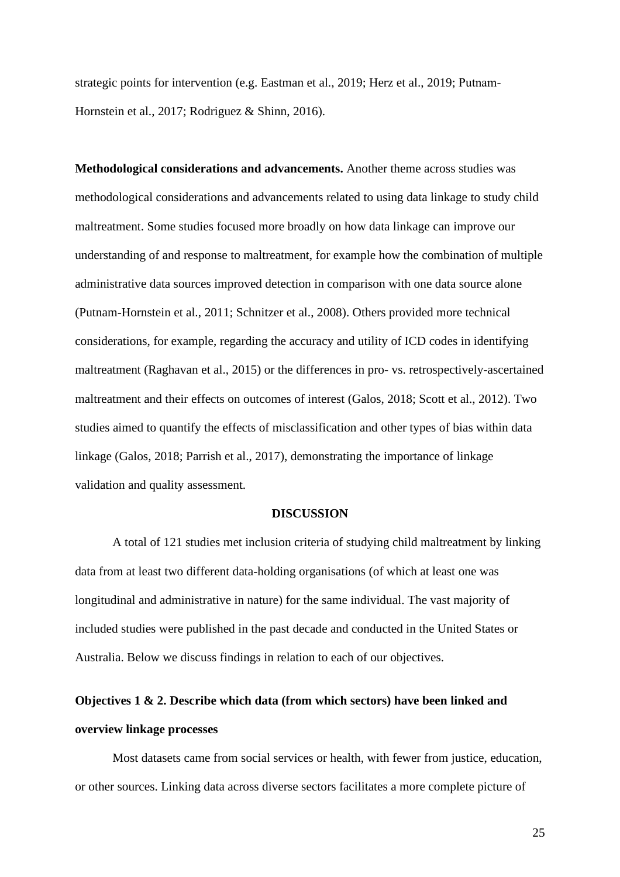strategic points for intervention (e.g. Eastman et al., 2019; Herz et al., 2019; Putnam‐ Hornstein et al., 2017; Rodriguez & Shinn, 2016).

**Methodological considerations and advancements.** Another theme across studies was methodological considerations and advancements related to using data linkage to study child maltreatment. Some studies focused more broadly on how data linkage can improve our understanding of and response to maltreatment, for example how the combination of multiple administrative data sources improved detection in comparison with one data source alone (Putnam-Hornstein et al., 2011; Schnitzer et al., 2008). Others provided more technical considerations, for example, regarding the accuracy and utility of ICD codes in identifying maltreatment (Raghavan et al., 2015) or the differences in pro- vs. retrospectively-ascertained maltreatment and their effects on outcomes of interest (Galos, 2018; Scott et al., 2012). Two studies aimed to quantify the effects of misclassification and other types of bias within data linkage (Galos, 2018; Parrish et al., 2017), demonstrating the importance of linkage validation and quality assessment.

#### **DISCUSSION**

A total of 121 studies met inclusion criteria of studying child maltreatment by linking data from at least two different data-holding organisations (of which at least one was longitudinal and administrative in nature) for the same individual. The vast majority of included studies were published in the past decade and conducted in the United States or Australia. Below we discuss findings in relation to each of our objectives.

# **Objectives 1 & 2. Describe which data (from which sectors) have been linked and overview linkage processes**

Most datasets came from social services or health, with fewer from justice, education, or other sources. Linking data across diverse sectors facilitates a more complete picture of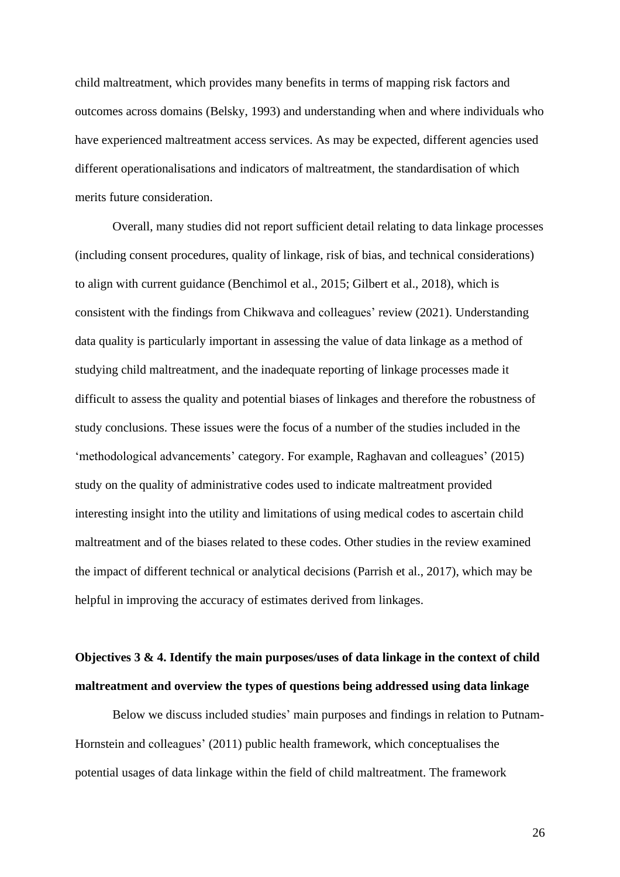child maltreatment, which provides many benefits in terms of mapping risk factors and outcomes across domains (Belsky, 1993) and understanding when and where individuals who have experienced maltreatment access services. As may be expected, different agencies used different operationalisations and indicators of maltreatment, the standardisation of which merits future consideration.

Overall, many studies did not report sufficient detail relating to data linkage processes (including consent procedures, quality of linkage, risk of bias, and technical considerations) to align with current guidance (Benchimol et al., 2015; Gilbert et al., 2018), which is consistent with the findings from Chikwava and colleagues' review (2021). Understanding data quality is particularly important in assessing the value of data linkage as a method of studying child maltreatment, and the inadequate reporting of linkage processes made it difficult to assess the quality and potential biases of linkages and therefore the robustness of study conclusions. These issues were the focus of a number of the studies included in the 'methodological advancements' category. For example, Raghavan and colleagues' (2015) study on the quality of administrative codes used to indicate maltreatment provided interesting insight into the utility and limitations of using medical codes to ascertain child maltreatment and of the biases related to these codes. Other studies in the review examined the impact of different technical or analytical decisions (Parrish et al., 2017), which may be helpful in improving the accuracy of estimates derived from linkages.

# **Objectives 3 & 4. Identify the main purposes/uses of data linkage in the context of child maltreatment and overview the types of questions being addressed using data linkage**

Below we discuss included studies' main purposes and findings in relation to Putnam-Hornstein and colleagues' (2011) public health framework, which conceptualises the potential usages of data linkage within the field of child maltreatment. The framework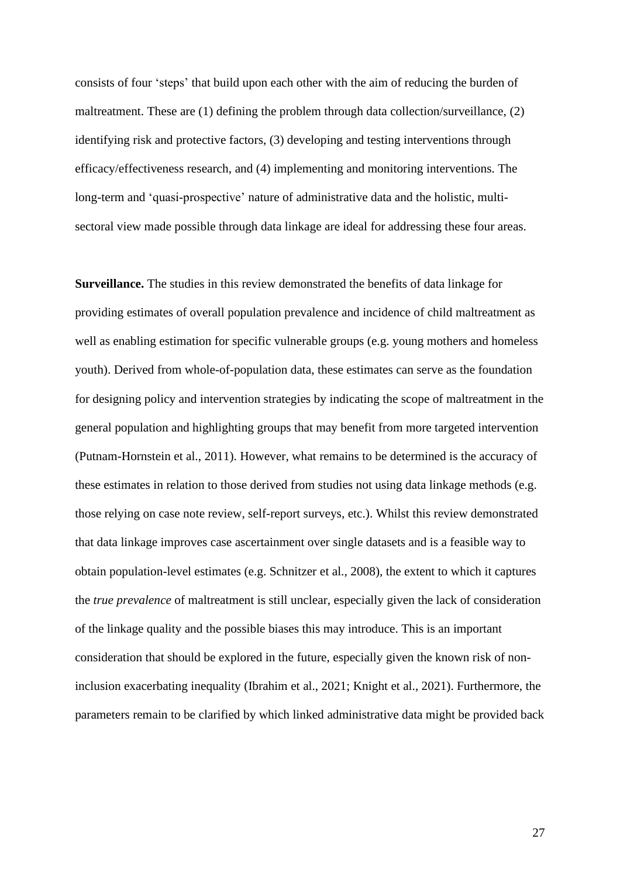consists of four 'steps' that build upon each other with the aim of reducing the burden of maltreatment. These are (1) defining the problem through data collection/surveillance, (2) identifying risk and protective factors, (3) developing and testing interventions through efficacy/effectiveness research, and (4) implementing and monitoring interventions. The long-term and 'quasi-prospective' nature of administrative data and the holistic, multisectoral view made possible through data linkage are ideal for addressing these four areas.

**Surveillance.** The studies in this review demonstrated the benefits of data linkage for providing estimates of overall population prevalence and incidence of child maltreatment as well as enabling estimation for specific vulnerable groups (e.g. young mothers and homeless youth). Derived from whole-of-population data, these estimates can serve as the foundation for designing policy and intervention strategies by indicating the scope of maltreatment in the general population and highlighting groups that may benefit from more targeted intervention (Putnam-Hornstein et al., 2011). However, what remains to be determined is the accuracy of these estimates in relation to those derived from studies not using data linkage methods (e.g. those relying on case note review, self-report surveys, etc.). Whilst this review demonstrated that data linkage improves case ascertainment over single datasets and is a feasible way to obtain population-level estimates (e.g. Schnitzer et al., 2008), the extent to which it captures the *true prevalence* of maltreatment is still unclear, especially given the lack of consideration of the linkage quality and the possible biases this may introduce. This is an important consideration that should be explored in the future, especially given the known risk of noninclusion exacerbating inequality (Ibrahim et al., 2021; Knight et al., 2021). Furthermore, the parameters remain to be clarified by which linked administrative data might be provided back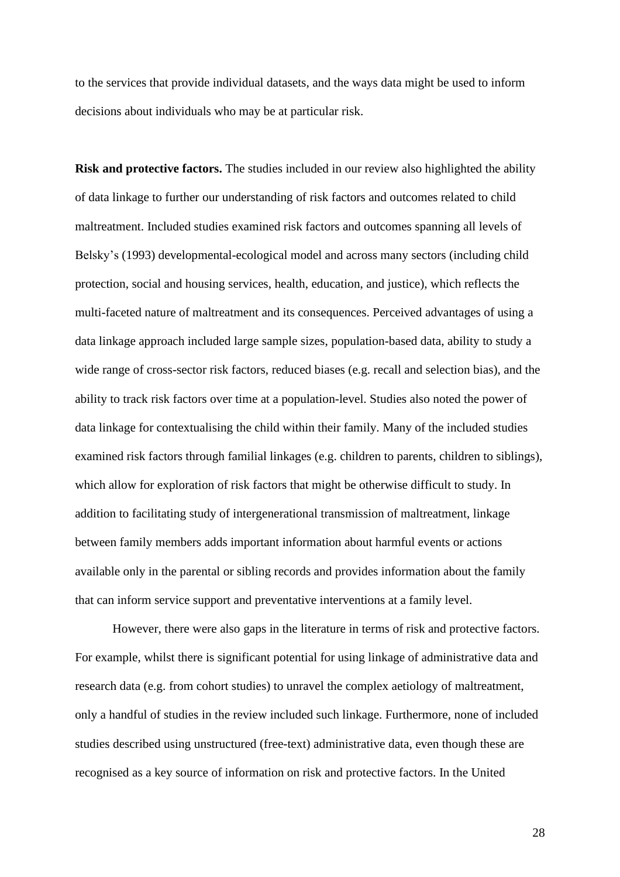to the services that provide individual datasets, and the ways data might be used to inform decisions about individuals who may be at particular risk.

**Risk and protective factors.** The studies included in our review also highlighted the ability of data linkage to further our understanding of risk factors and outcomes related to child maltreatment. Included studies examined risk factors and outcomes spanning all levels of Belsky's (1993) developmental-ecological model and across many sectors (including child protection, social and housing services, health, education, and justice), which reflects the multi-faceted nature of maltreatment and its consequences. Perceived advantages of using a data linkage approach included large sample sizes, population-based data, ability to study a wide range of cross-sector risk factors, reduced biases (e.g. recall and selection bias), and the ability to track risk factors over time at a population-level. Studies also noted the power of data linkage for contextualising the child within their family. Many of the included studies examined risk factors through familial linkages (e.g. children to parents, children to siblings), which allow for exploration of risk factors that might be otherwise difficult to study. In addition to facilitating study of intergenerational transmission of maltreatment, linkage between family members adds important information about harmful events or actions available only in the parental or sibling records and provides information about the family that can inform service support and preventative interventions at a family level.

However, there were also gaps in the literature in terms of risk and protective factors. For example, whilst there is significant potential for using linkage of administrative data and research data (e.g. from cohort studies) to unravel the complex aetiology of maltreatment, only a handful of studies in the review included such linkage. Furthermore, none of included studies described using unstructured (free-text) administrative data, even though these are recognised as a key source of information on risk and protective factors. In the United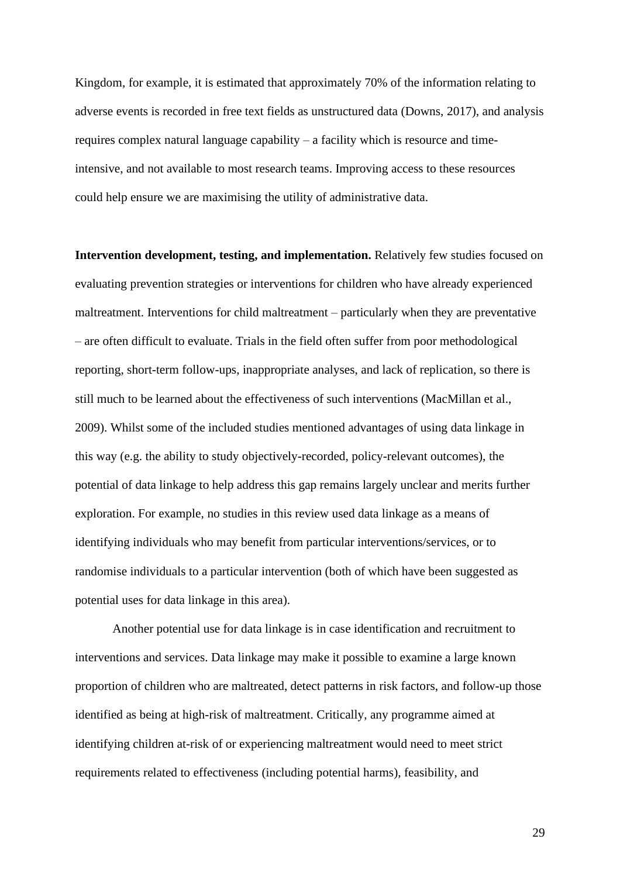Kingdom, for example, it is estimated that approximately 70% of the information relating to adverse events is recorded in free text fields as unstructured data (Downs, 2017), and analysis requires complex natural language capability – a facility which is resource and timeintensive, and not available to most research teams. Improving access to these resources could help ensure we are maximising the utility of administrative data.

**Intervention development, testing, and implementation.** Relatively few studies focused on evaluating prevention strategies or interventions for children who have already experienced maltreatment. Interventions for child maltreatment – particularly when they are preventative – are often difficult to evaluate. Trials in the field often suffer from poor methodological reporting, short-term follow-ups, inappropriate analyses, and lack of replication, so there is still much to be learned about the effectiveness of such interventions (MacMillan et al., 2009). Whilst some of the included studies mentioned advantages of using data linkage in this way (e.g. the ability to study objectively-recorded, policy-relevant outcomes), the potential of data linkage to help address this gap remains largely unclear and merits further exploration. For example, no studies in this review used data linkage as a means of identifying individuals who may benefit from particular interventions/services, or to randomise individuals to a particular intervention (both of which have been suggested as potential uses for data linkage in this area).

Another potential use for data linkage is in case identification and recruitment to interventions and services. Data linkage may make it possible to examine a large known proportion of children who are maltreated, detect patterns in risk factors, and follow-up those identified as being at high-risk of maltreatment. Critically, any programme aimed at identifying children at-risk of or experiencing maltreatment would need to meet strict requirements related to effectiveness (including potential harms), feasibility, and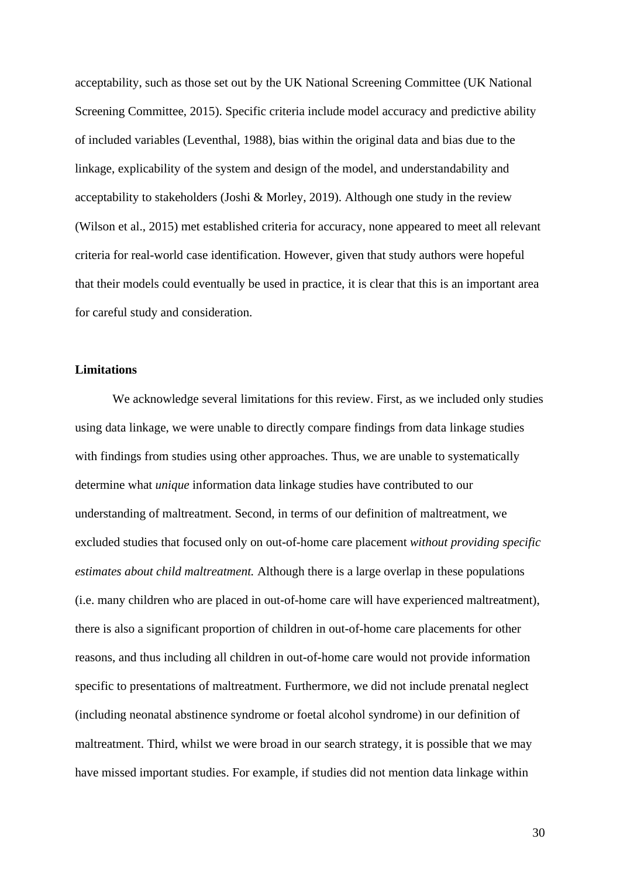acceptability, such as those set out by the UK National Screening Committee (UK National Screening Committee, 2015). Specific criteria include model accuracy and predictive ability of included variables (Leventhal, 1988), bias within the original data and bias due to the linkage, explicability of the system and design of the model, and understandability and acceptability to stakeholders (Joshi & Morley, 2019). Although one study in the review (Wilson et al., 2015) met established criteria for accuracy, none appeared to meet all relevant criteria for real-world case identification. However, given that study authors were hopeful that their models could eventually be used in practice, it is clear that this is an important area for careful study and consideration.

## **Limitations**

We acknowledge several limitations for this review. First, as we included only studies using data linkage, we were unable to directly compare findings from data linkage studies with findings from studies using other approaches. Thus, we are unable to systematically determine what *unique* information data linkage studies have contributed to our understanding of maltreatment. Second, in terms of our definition of maltreatment, we excluded studies that focused only on out-of-home care placement *without providing specific estimates about child maltreatment.* Although there is a large overlap in these populations (i.e. many children who are placed in out-of-home care will have experienced maltreatment), there is also a significant proportion of children in out-of-home care placements for other reasons, and thus including all children in out-of-home care would not provide information specific to presentations of maltreatment. Furthermore, we did not include prenatal neglect (including neonatal abstinence syndrome or foetal alcohol syndrome) in our definition of maltreatment. Third, whilst we were broad in our search strategy, it is possible that we may have missed important studies. For example, if studies did not mention data linkage within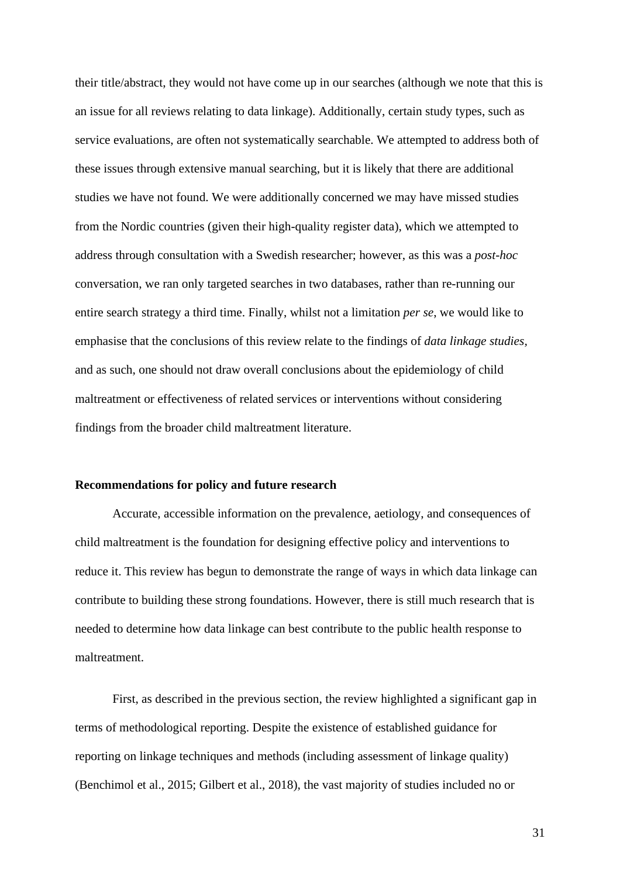their title/abstract, they would not have come up in our searches (although we note that this is an issue for all reviews relating to data linkage). Additionally, certain study types, such as service evaluations, are often not systematically searchable. We attempted to address both of these issues through extensive manual searching, but it is likely that there are additional studies we have not found. We were additionally concerned we may have missed studies from the Nordic countries (given their high-quality register data), which we attempted to address through consultation with a Swedish researcher; however, as this was a *post-hoc* conversation, we ran only targeted searches in two databases, rather than re-running our entire search strategy a third time. Finally, whilst not a limitation *per se*, we would like to emphasise that the conclusions of this review relate to the findings of *data linkage studies,* and as such, one should not draw overall conclusions about the epidemiology of child maltreatment or effectiveness of related services or interventions without considering findings from the broader child maltreatment literature.

### **Recommendations for policy and future research**

Accurate, accessible information on the prevalence, aetiology, and consequences of child maltreatment is the foundation for designing effective policy and interventions to reduce it. This review has begun to demonstrate the range of ways in which data linkage can contribute to building these strong foundations. However, there is still much research that is needed to determine how data linkage can best contribute to the public health response to maltreatment.

First, as described in the previous section, the review highlighted a significant gap in terms of methodological reporting. Despite the existence of established guidance for reporting on linkage techniques and methods (including assessment of linkage quality) (Benchimol et al., 2015; Gilbert et al., 2018), the vast majority of studies included no or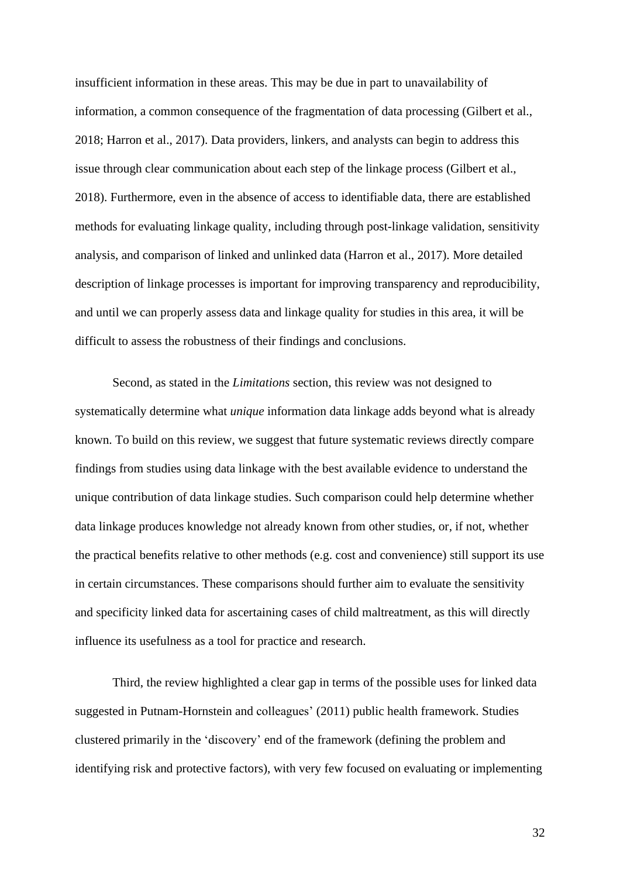insufficient information in these areas. This may be due in part to unavailability of information, a common consequence of the fragmentation of data processing (Gilbert et al., 2018; Harron et al., 2017). Data providers, linkers, and analysts can begin to address this issue through clear communication about each step of the linkage process (Gilbert et al., 2018). Furthermore, even in the absence of access to identifiable data, there are established methods for evaluating linkage quality, including through post-linkage validation, sensitivity analysis, and comparison of linked and unlinked data (Harron et al., 2017). More detailed description of linkage processes is important for improving transparency and reproducibility, and until we can properly assess data and linkage quality for studies in this area, it will be difficult to assess the robustness of their findings and conclusions.

Second, as stated in the *Limitations* section, this review was not designed to systematically determine what *unique* information data linkage adds beyond what is already known. To build on this review, we suggest that future systematic reviews directly compare findings from studies using data linkage with the best available evidence to understand the unique contribution of data linkage studies. Such comparison could help determine whether data linkage produces knowledge not already known from other studies, or, if not, whether the practical benefits relative to other methods (e.g. cost and convenience) still support its use in certain circumstances. These comparisons should further aim to evaluate the sensitivity and specificity linked data for ascertaining cases of child maltreatment, as this will directly influence its usefulness as a tool for practice and research.

Third, the review highlighted a clear gap in terms of the possible uses for linked data suggested in Putnam-Hornstein and colleagues' (2011) public health framework. Studies clustered primarily in the 'discovery' end of the framework (defining the problem and identifying risk and protective factors), with very few focused on evaluating or implementing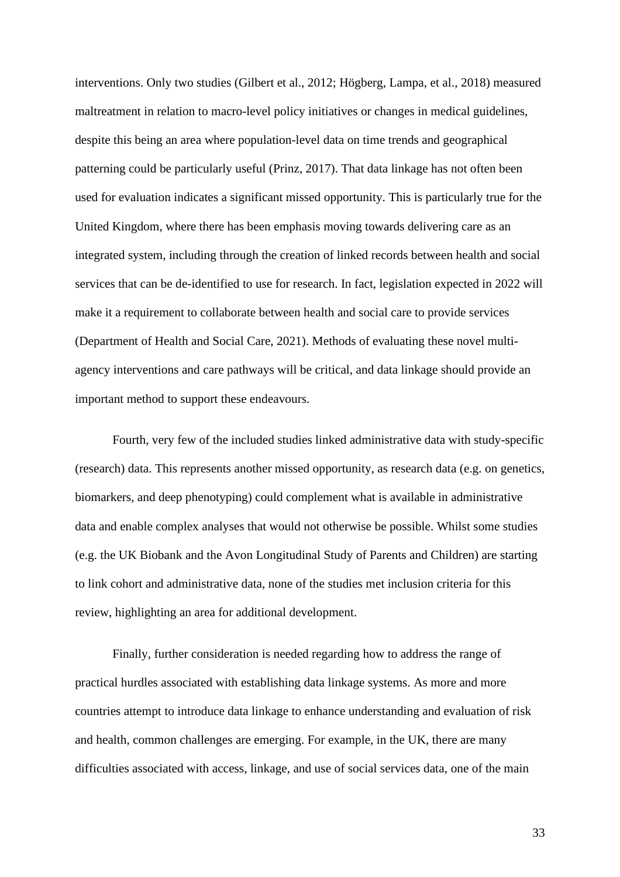interventions. Only two studies (Gilbert et al., 2012; Högberg, Lampa, et al., 2018) measured maltreatment in relation to macro-level policy initiatives or changes in medical guidelines, despite this being an area where population-level data on time trends and geographical patterning could be particularly useful (Prinz, 2017). That data linkage has not often been used for evaluation indicates a significant missed opportunity. This is particularly true for the United Kingdom, where there has been emphasis moving towards delivering care as an integrated system, including through the creation of linked records between health and social services that can be de-identified to use for research. In fact, legislation expected in 2022 will make it a requirement to collaborate between health and social care to provide services (Department of Health and Social Care, 2021). Methods of evaluating these novel multiagency interventions and care pathways will be critical, and data linkage should provide an important method to support these endeavours.

Fourth, very few of the included studies linked administrative data with study-specific (research) data. This represents another missed opportunity, as research data (e.g. on genetics, biomarkers, and deep phenotyping) could complement what is available in administrative data and enable complex analyses that would not otherwise be possible. Whilst some studies (e.g. the UK Biobank and the Avon Longitudinal Study of Parents and Children) are starting to link cohort and administrative data, none of the studies met inclusion criteria for this review, highlighting an area for additional development.

Finally, further consideration is needed regarding how to address the range of practical hurdles associated with establishing data linkage systems. As more and more countries attempt to introduce data linkage to enhance understanding and evaluation of risk and health, common challenges are emerging. For example, in the UK, there are many difficulties associated with access, linkage, and use of social services data, one of the main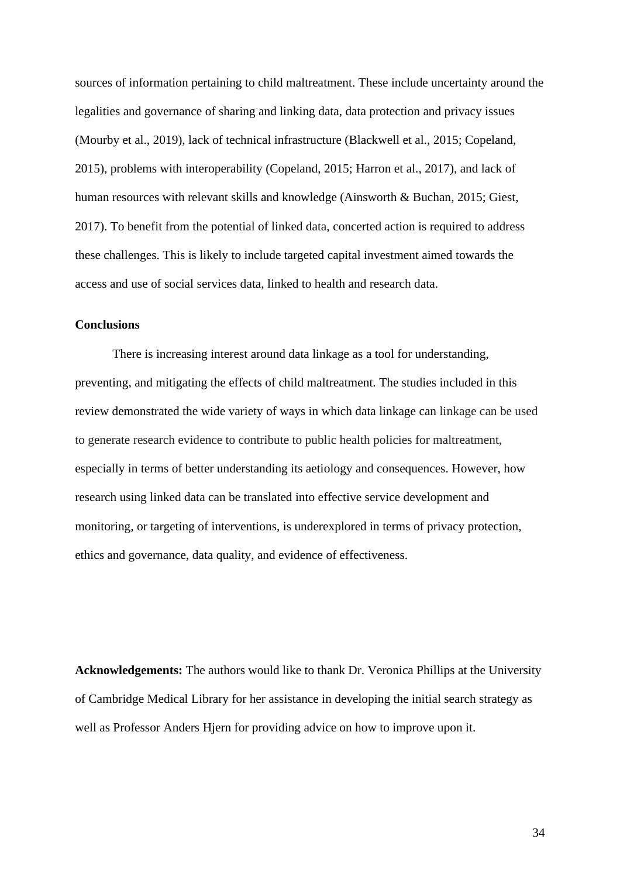sources of information pertaining to child maltreatment. These include uncertainty around the legalities and governance of sharing and linking data, data protection and privacy issues (Mourby et al., 2019), lack of technical infrastructure (Blackwell et al., 2015; Copeland, 2015), problems with interoperability (Copeland, 2015; Harron et al., 2017), and lack of human resources with relevant skills and knowledge (Ainsworth & Buchan, 2015; Giest, 2017). To benefit from the potential of linked data, concerted action is required to address these challenges. This is likely to include targeted capital investment aimed towards the access and use of social services data, linked to health and research data.

## **Conclusions**

There is increasing interest around data linkage as a tool for understanding, preventing, and mitigating the effects of child maltreatment. The studies included in this review demonstrated the wide variety of ways in which data linkage can linkage can be used to generate research evidence to contribute to public health policies for maltreatment, especially in terms of better understanding its aetiology and consequences. However, how research using linked data can be translated into effective service development and monitoring, or targeting of interventions, is underexplored in terms of privacy protection, ethics and governance, data quality, and evidence of effectiveness.

**Acknowledgements:** The authors would like to thank Dr. Veronica Phillips at the University of Cambridge Medical Library for her assistance in developing the initial search strategy as well as Professor Anders Hjern for providing advice on how to improve upon it.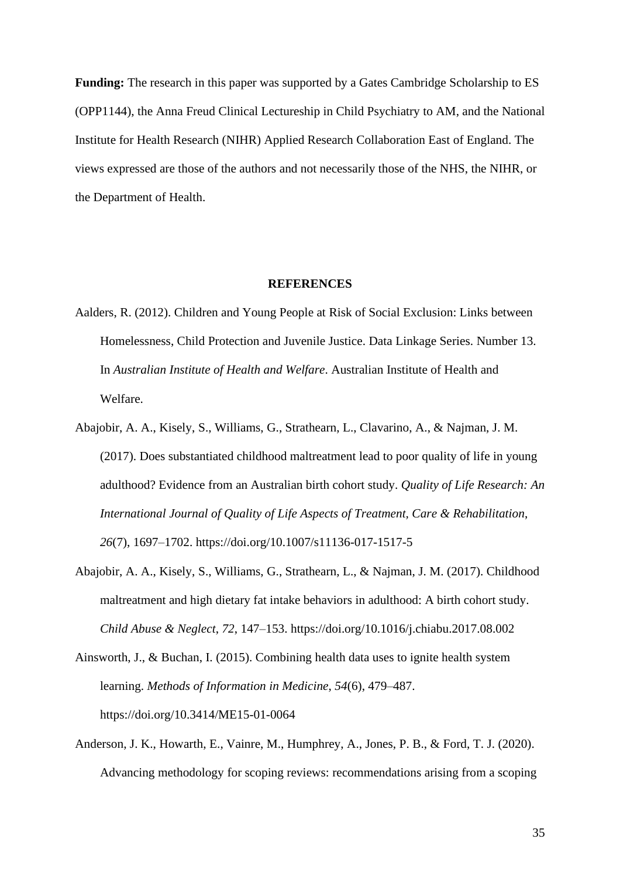**Funding:** The research in this paper was supported by a Gates Cambridge Scholarship to ES (OPP1144), the Anna Freud Clinical Lectureship in Child Psychiatry to AM, and the National Institute for Health Research (NIHR) Applied Research Collaboration East of England. The views expressed are those of the authors and not necessarily those of the NHS, the NIHR, or the Department of Health.

#### **REFERENCES**

- Aalders, R. (2012). Children and Young People at Risk of Social Exclusion: Links between Homelessness, Child Protection and Juvenile Justice. Data Linkage Series. Number 13. In *Australian Institute of Health and Welfare*. Australian Institute of Health and Welfare.
- Abajobir, A. A., Kisely, S., Williams, G., Strathearn, L., Clavarino, A., & Najman, J. M. (2017). Does substantiated childhood maltreatment lead to poor quality of life in young adulthood? Evidence from an Australian birth cohort study. *Quality of Life Research: An International Journal of Quality of Life Aspects of Treatment, Care & Rehabilitation*, *26*(7), 1697–1702. https://doi.org/10.1007/s11136-017-1517-5
- Abajobir, A. A., Kisely, S., Williams, G., Strathearn, L., & Najman, J. M. (2017). Childhood maltreatment and high dietary fat intake behaviors in adulthood: A birth cohort study. *Child Abuse & Neglect*, *72*, 147–153. https://doi.org/10.1016/j.chiabu.2017.08.002
- Ainsworth, J., & Buchan, I. (2015). Combining health data uses to ignite health system learning. *Methods of Information in Medicine*, *54*(6), 479–487. https://doi.org/10.3414/ME15-01-0064
- Anderson, J. K., Howarth, E., Vainre, M., Humphrey, A., Jones, P. B., & Ford, T. J. (2020). Advancing methodology for scoping reviews: recommendations arising from a scoping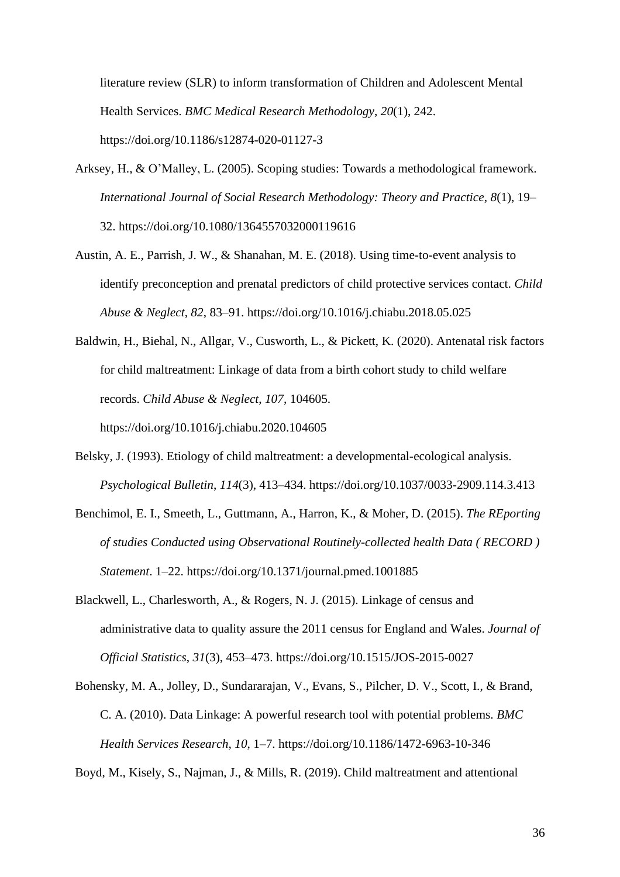literature review (SLR) to inform transformation of Children and Adolescent Mental Health Services. *BMC Medical Research Methodology*, *20*(1), 242. https://doi.org/10.1186/s12874-020-01127-3

- Arksey, H., & O'Malley, L. (2005). Scoping studies: Towards a methodological framework. *International Journal of Social Research Methodology: Theory and Practice*, *8*(1), 19– 32. https://doi.org/10.1080/1364557032000119616
- Austin, A. E., Parrish, J. W., & Shanahan, M. E. (2018). Using time-to-event analysis to identify preconception and prenatal predictors of child protective services contact. *Child Abuse & Neglect*, *82*, 83–91. https://doi.org/10.1016/j.chiabu.2018.05.025

Baldwin, H., Biehal, N., Allgar, V., Cusworth, L., & Pickett, K. (2020). Antenatal risk factors for child maltreatment: Linkage of data from a birth cohort study to child welfare records. *Child Abuse & Neglect*, *107*, 104605. https://doi.org/10.1016/j.chiabu.2020.104605

- Belsky, J. (1993). Etiology of child maltreatment: a developmental-ecological analysis. *Psychological Bulletin*, *114*(3), 413–434. https://doi.org/10.1037/0033-2909.114.3.413
- Benchimol, E. I., Smeeth, L., Guttmann, A., Harron, K., & Moher, D. (2015). *The REporting of studies Conducted using Observational Routinely-collected health Data ( RECORD ) Statement*. 1–22. https://doi.org/10.1371/journal.pmed.1001885
- Blackwell, L., Charlesworth, A., & Rogers, N. J. (2015). Linkage of census and administrative data to quality assure the 2011 census for England and Wales. *Journal of Official Statistics*, *31*(3), 453–473. https://doi.org/10.1515/JOS-2015-0027
- Bohensky, M. A., Jolley, D., Sundararajan, V., Evans, S., Pilcher, D. V., Scott, I., & Brand, C. A. (2010). Data Linkage: A powerful research tool with potential problems. *BMC Health Services Research*, *10*, 1–7. https://doi.org/10.1186/1472-6963-10-346

Boyd, M., Kisely, S., Najman, J., & Mills, R. (2019). Child maltreatment and attentional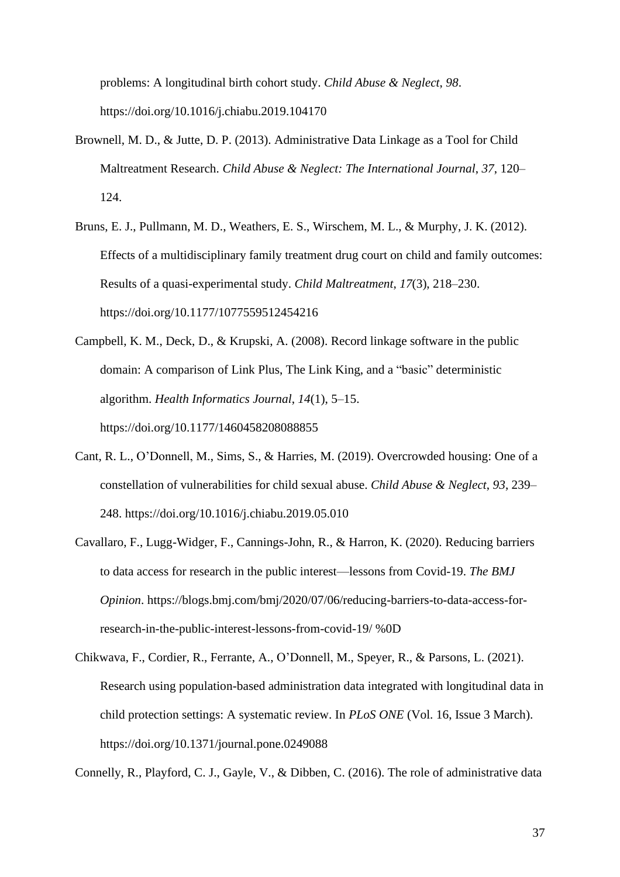problems: A longitudinal birth cohort study. *Child Abuse & Neglect*, *98*. https://doi.org/10.1016/j.chiabu.2019.104170

- Brownell, M. D., & Jutte, D. P. (2013). Administrative Data Linkage as a Tool for Child Maltreatment Research. *Child Abuse & Neglect: The International Journal*, *37*, 120– 124.
- Bruns, E. J., Pullmann, M. D., Weathers, E. S., Wirschem, M. L., & Murphy, J. K. (2012). Effects of a multidisciplinary family treatment drug court on child and family outcomes: Results of a quasi-experimental study. *Child Maltreatment*, *17*(3), 218–230. https://doi.org/10.1177/1077559512454216
- Campbell, K. M., Deck, D., & Krupski, A. (2008). Record linkage software in the public domain: A comparison of Link Plus, The Link King, and a "basic" deterministic algorithm. *Health Informatics Journal*, *14*(1), 5–15. https://doi.org/10.1177/1460458208088855
- Cant, R. L., O'Donnell, M., Sims, S., & Harries, M. (2019). Overcrowded housing: One of a constellation of vulnerabilities for child sexual abuse. *Child Abuse & Neglect*, *93*, 239– 248. https://doi.org/10.1016/j.chiabu.2019.05.010
- Cavallaro, F., Lugg-Widger, F., Cannings-John, R., & Harron, K. (2020). Reducing barriers to data access for research in the public interest—lessons from Covid-19. *The BMJ Opinion*. https://blogs.bmj.com/bmj/2020/07/06/reducing-barriers-to-data-access-forresearch-in-the-public-interest-lessons-from-covid-19/ %0D
- Chikwava, F., Cordier, R., Ferrante, A., O'Donnell, M., Speyer, R., & Parsons, L. (2021). Research using population-based administration data integrated with longitudinal data in child protection settings: A systematic review. In *PLoS ONE* (Vol. 16, Issue 3 March). https://doi.org/10.1371/journal.pone.0249088

Connelly, R., Playford, C. J., Gayle, V., & Dibben, C. (2016). The role of administrative data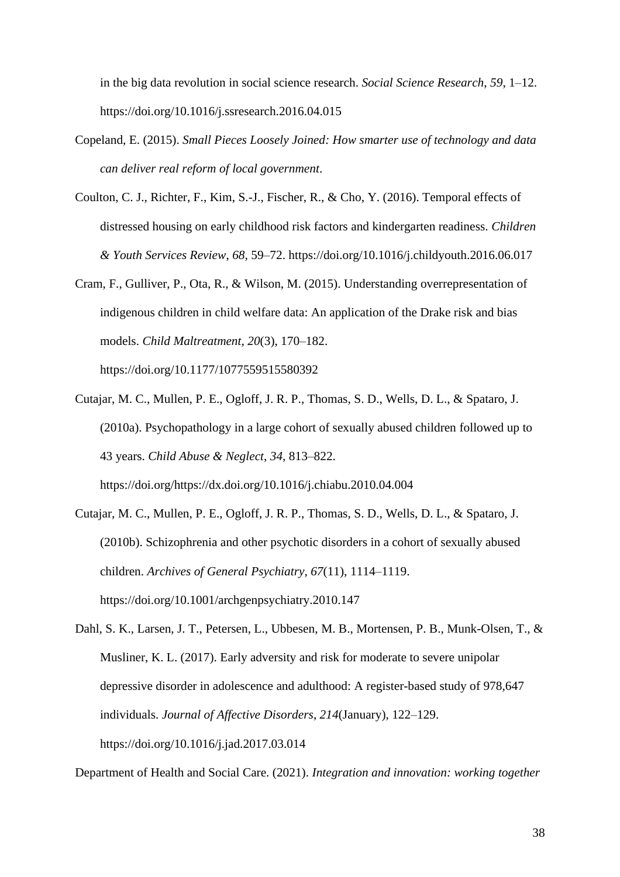in the big data revolution in social science research. *Social Science Research*, *59*, 1–12. https://doi.org/10.1016/j.ssresearch.2016.04.015

- Copeland, E. (2015). *Small Pieces Loosely Joined: How smarter use of technology and data can deliver real reform of local government*.
- Coulton, C. J., Richter, F., Kim, S.-J., Fischer, R., & Cho, Y. (2016). Temporal effects of distressed housing on early childhood risk factors and kindergarten readiness. *Children & Youth Services Review*, *68*, 59–72. https://doi.org/10.1016/j.childyouth.2016.06.017
- Cram, F., Gulliver, P., Ota, R., & Wilson, M. (2015). Understanding overrepresentation of indigenous children in child welfare data: An application of the Drake risk and bias models. *Child Maltreatment*, *20*(3), 170–182.

https://doi.org/10.1177/1077559515580392

- Cutajar, M. C., Mullen, P. E., Ogloff, J. R. P., Thomas, S. D., Wells, D. L., & Spataro, J. (2010a). Psychopathology in a large cohort of sexually abused children followed up to 43 years. *Child Abuse & Neglect*, *34*, 813–822. https://doi.org/https://dx.doi.org/10.1016/j.chiabu.2010.04.004
- Cutajar, M. C., Mullen, P. E., Ogloff, J. R. P., Thomas, S. D., Wells, D. L., & Spataro, J. (2010b). Schizophrenia and other psychotic disorders in a cohort of sexually abused children. *Archives of General Psychiatry*, *67*(11), 1114–1119. https://doi.org/10.1001/archgenpsychiatry.2010.147
- Dahl, S. K., Larsen, J. T., Petersen, L., Ubbesen, M. B., Mortensen, P. B., Munk-Olsen, T., & Musliner, K. L. (2017). Early adversity and risk for moderate to severe unipolar depressive disorder in adolescence and adulthood: A register-based study of 978,647 individuals. *Journal of Affective Disorders*, *214*(January), 122–129. https://doi.org/10.1016/j.jad.2017.03.014

Department of Health and Social Care. (2021). *Integration and innovation: working together*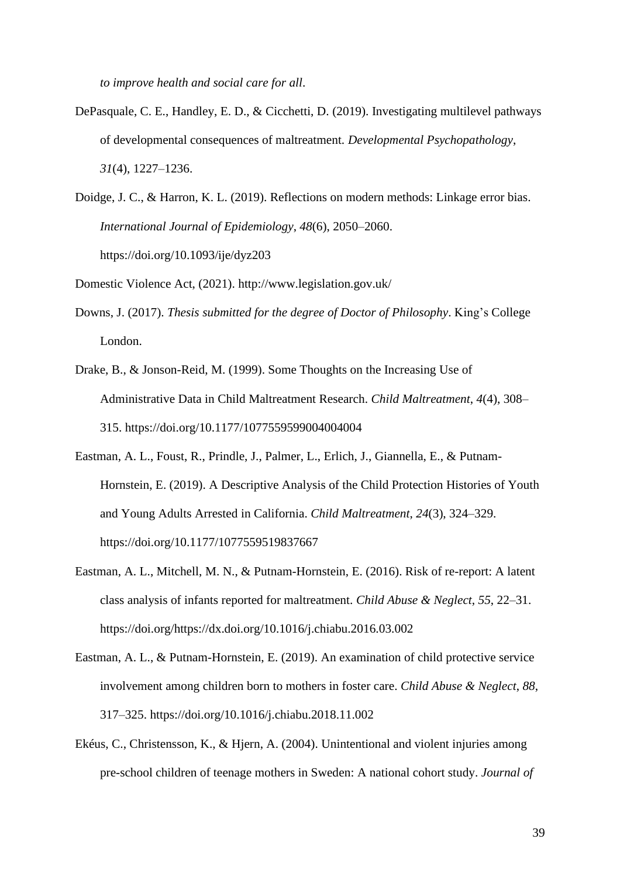*to improve health and social care for all*.

- DePasquale, C. E., Handley, E. D., & Cicchetti, D. (2019). Investigating multilevel pathways of developmental consequences of maltreatment. *Developmental Psychopathology*, *31*(4), 1227–1236.
- Doidge, J. C., & Harron, K. L. (2019). Reflections on modern methods: Linkage error bias. *International Journal of Epidemiology*, *48*(6), 2050–2060. https://doi.org/10.1093/ije/dyz203

Domestic Violence Act, (2021). http://www.legislation.gov.uk/

- Downs, J. (2017). *Thesis submitted for the degree of Doctor of Philosophy*. King's College London.
- Drake, B., & Jonson-Reid, M. (1999). Some Thoughts on the Increasing Use of Administrative Data in Child Maltreatment Research. *Child Maltreatment*, *4*(4), 308– 315. https://doi.org/10.1177/1077559599004004004
- Eastman, A. L., Foust, R., Prindle, J., Palmer, L., Erlich, J., Giannella, E., & Putnam-Hornstein, E. (2019). A Descriptive Analysis of the Child Protection Histories of Youth and Young Adults Arrested in California. *Child Maltreatment*, *24*(3), 324–329. https://doi.org/10.1177/1077559519837667
- Eastman, A. L., Mitchell, M. N., & Putnam-Hornstein, E. (2016). Risk of re-report: A latent class analysis of infants reported for maltreatment. *Child Abuse & Neglect*, *55*, 22–31. https://doi.org/https://dx.doi.org/10.1016/j.chiabu.2016.03.002
- Eastman, A. L., & Putnam-Hornstein, E. (2019). An examination of child protective service involvement among children born to mothers in foster care. *Child Abuse & Neglect*, *88*, 317–325. https://doi.org/10.1016/j.chiabu.2018.11.002
- Ekéus, C., Christensson, K., & Hjern, A. (2004). Unintentional and violent injuries among pre-school children of teenage mothers in Sweden: A national cohort study. *Journal of*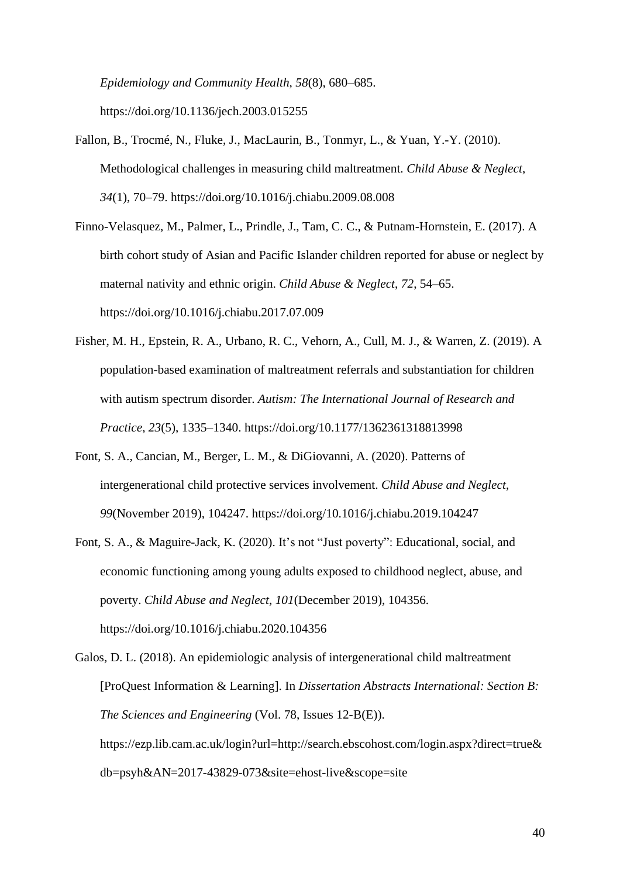*Epidemiology and Community Health*, *58*(8), 680–685. https://doi.org/10.1136/jech.2003.015255

- Fallon, B., Trocmé, N., Fluke, J., MacLaurin, B., Tonmyr, L., & Yuan, Y.-Y. (2010). Methodological challenges in measuring child maltreatment. *Child Abuse & Neglect*, *34*(1), 70–79. https://doi.org/10.1016/j.chiabu.2009.08.008
- Finno-Velasquez, M., Palmer, L., Prindle, J., Tam, C. C., & Putnam-Hornstein, E. (2017). A birth cohort study of Asian and Pacific Islander children reported for abuse or neglect by maternal nativity and ethnic origin. *Child Abuse & Neglect*, *72*, 54–65. https://doi.org/10.1016/j.chiabu.2017.07.009
- Fisher, M. H., Epstein, R. A., Urbano, R. C., Vehorn, A., Cull, M. J., & Warren, Z. (2019). A population-based examination of maltreatment referrals and substantiation for children with autism spectrum disorder. *Autism: The International Journal of Research and Practice*, *23*(5), 1335–1340. https://doi.org/10.1177/1362361318813998
- Font, S. A., Cancian, M., Berger, L. M., & DiGiovanni, A. (2020). Patterns of intergenerational child protective services involvement. *Child Abuse and Neglect*, *99*(November 2019), 104247. https://doi.org/10.1016/j.chiabu.2019.104247
- Font, S. A., & Maguire-Jack, K. (2020). It's not "Just poverty": Educational, social, and economic functioning among young adults exposed to childhood neglect, abuse, and poverty. *Child Abuse and Neglect*, *101*(December 2019), 104356. https://doi.org/10.1016/j.chiabu.2020.104356
- Galos, D. L. (2018). An epidemiologic analysis of intergenerational child maltreatment [ProQuest Information & Learning]. In *Dissertation Abstracts International: Section B: The Sciences and Engineering* (Vol. 78, Issues 12-B(E)). https://ezp.lib.cam.ac.uk/login?url=http://search.ebscohost.com/login.aspx?direct=true& db=psyh&AN=2017-43829-073&site=ehost-live&scope=site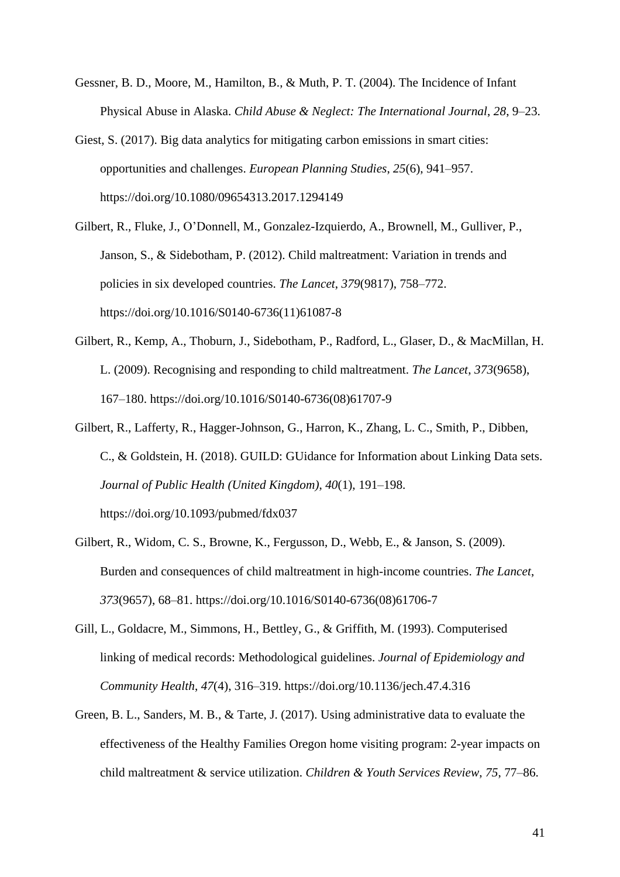- Gessner, B. D., Moore, M., Hamilton, B., & Muth, P. T. (2004). The Incidence of Infant Physical Abuse in Alaska. *Child Abuse & Neglect: The International Journal*, *28*, 9–23.
- Giest, S. (2017). Big data analytics for mitigating carbon emissions in smart cities: opportunities and challenges. *European Planning Studies*, *25*(6), 941–957. https://doi.org/10.1080/09654313.2017.1294149
- Gilbert, R., Fluke, J., O'Donnell, M., Gonzalez-Izquierdo, A., Brownell, M., Gulliver, P., Janson, S., & Sidebotham, P. (2012). Child maltreatment: Variation in trends and policies in six developed countries. *The Lancet*, *379*(9817), 758–772. https://doi.org/10.1016/S0140-6736(11)61087-8
- Gilbert, R., Kemp, A., Thoburn, J., Sidebotham, P., Radford, L., Glaser, D., & MacMillan, H. L. (2009). Recognising and responding to child maltreatment. *The Lancet*, *373*(9658), 167–180. https://doi.org/10.1016/S0140-6736(08)61707-9
- Gilbert, R., Lafferty, R., Hagger-Johnson, G., Harron, K., Zhang, L. C., Smith, P., Dibben, C., & Goldstein, H. (2018). GUILD: GUidance for Information about Linking Data sets. *Journal of Public Health (United Kingdom)*, *40*(1), 191–198. https://doi.org/10.1093/pubmed/fdx037
- Gilbert, R., Widom, C. S., Browne, K., Fergusson, D., Webb, E., & Janson, S. (2009). Burden and consequences of child maltreatment in high-income countries. *The Lancet*, *373*(9657), 68–81. https://doi.org/10.1016/S0140-6736(08)61706-7
- Gill, L., Goldacre, M., Simmons, H., Bettley, G., & Griffith, M. (1993). Computerised linking of medical records: Methodological guidelines. *Journal of Epidemiology and Community Health*, *47*(4), 316–319. https://doi.org/10.1136/jech.47.4.316
- Green, B. L., Sanders, M. B., & Tarte, J. (2017). Using administrative data to evaluate the effectiveness of the Healthy Families Oregon home visiting program: 2-year impacts on child maltreatment & service utilization. *Children & Youth Services Review*, *75*, 77–86.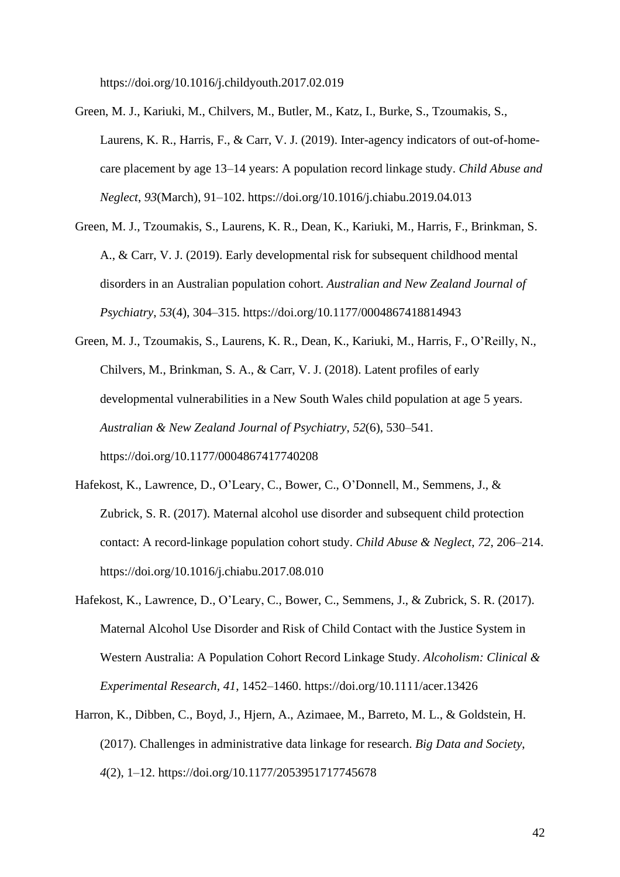https://doi.org/10.1016/j.childyouth.2017.02.019

- Green, M. J., Kariuki, M., Chilvers, M., Butler, M., Katz, I., Burke, S., Tzoumakis, S., Laurens, K. R., Harris, F., & Carr, V. J. (2019). Inter-agency indicators of out-of-homecare placement by age 13–14 years: A population record linkage study. *Child Abuse and Neglect*, *93*(March), 91–102. https://doi.org/10.1016/j.chiabu.2019.04.013
- Green, M. J., Tzoumakis, S., Laurens, K. R., Dean, K., Kariuki, M., Harris, F., Brinkman, S. A., & Carr, V. J. (2019). Early developmental risk for subsequent childhood mental disorders in an Australian population cohort. *Australian and New Zealand Journal of Psychiatry*, *53*(4), 304–315. https://doi.org/10.1177/0004867418814943
- Green, M. J., Tzoumakis, S., Laurens, K. R., Dean, K., Kariuki, M., Harris, F., O'Reilly, N., Chilvers, M., Brinkman, S. A., & Carr, V. J. (2018). Latent profiles of early developmental vulnerabilities in a New South Wales child population at age 5 years. *Australian & New Zealand Journal of Psychiatry*, *52*(6), 530–541. https://doi.org/10.1177/0004867417740208
- Hafekost, K., Lawrence, D., O'Leary, C., Bower, C., O'Donnell, M., Semmens, J., & Zubrick, S. R. (2017). Maternal alcohol use disorder and subsequent child protection contact: A record-linkage population cohort study. *Child Abuse & Neglect*, *72*, 206–214. https://doi.org/10.1016/j.chiabu.2017.08.010
- Hafekost, K., Lawrence, D., O'Leary, C., Bower, C., Semmens, J., & Zubrick, S. R. (2017). Maternal Alcohol Use Disorder and Risk of Child Contact with the Justice System in Western Australia: A Population Cohort Record Linkage Study. *Alcoholism: Clinical & Experimental Research*, *41*, 1452–1460. https://doi.org/10.1111/acer.13426
- Harron, K., Dibben, C., Boyd, J., Hjern, A., Azimaee, M., Barreto, M. L., & Goldstein, H. (2017). Challenges in administrative data linkage for research. *Big Data and Society*, *4*(2), 1–12. https://doi.org/10.1177/2053951717745678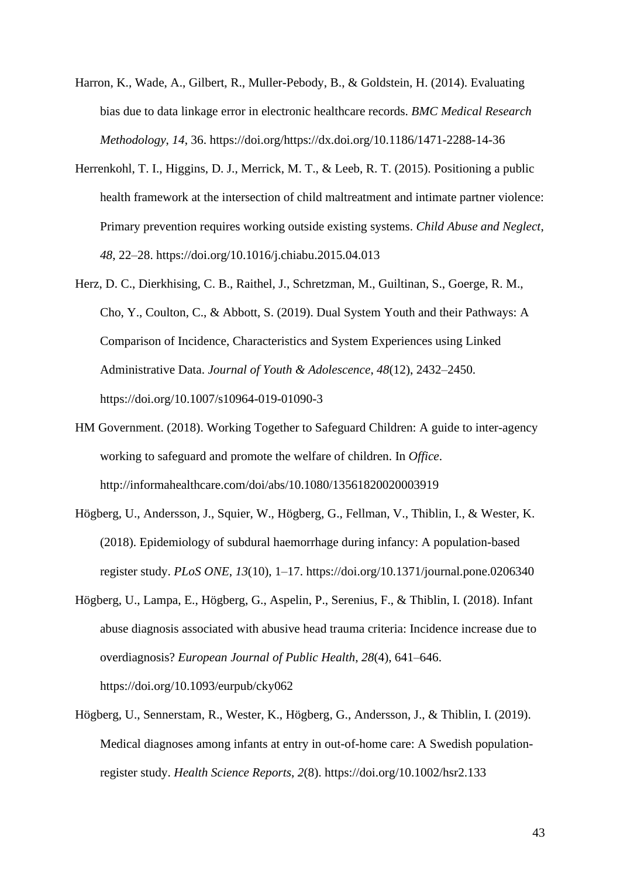- Harron, K., Wade, A., Gilbert, R., Muller-Pebody, B., & Goldstein, H. (2014). Evaluating bias due to data linkage error in electronic healthcare records. *BMC Medical Research Methodology*, *14*, 36. https://doi.org/https://dx.doi.org/10.1186/1471-2288-14-36
- Herrenkohl, T. I., Higgins, D. J., Merrick, M. T., & Leeb, R. T. (2015). Positioning a public health framework at the intersection of child maltreatment and intimate partner violence: Primary prevention requires working outside existing systems. *Child Abuse and Neglect*, *48*, 22–28. https://doi.org/10.1016/j.chiabu.2015.04.013
- Herz, D. C., Dierkhising, C. B., Raithel, J., Schretzman, M., Guiltinan, S., Goerge, R. M., Cho, Y., Coulton, C., & Abbott, S. (2019). Dual System Youth and their Pathways: A Comparison of Incidence, Characteristics and System Experiences using Linked Administrative Data. *Journal of Youth & Adolescence*, *48*(12), 2432–2450. https://doi.org/10.1007/s10964-019-01090-3
- HM Government. (2018). Working Together to Safeguard Children: A guide to inter-agency working to safeguard and promote the welfare of children. In *Office*. http://informahealthcare.com/doi/abs/10.1080/13561820020003919
- Högberg, U., Andersson, J., Squier, W., Högberg, G., Fellman, V., Thiblin, I., & Wester, K. (2018). Epidemiology of subdural haemorrhage during infancy: A population-based register study. *PLoS ONE*, *13*(10), 1–17. https://doi.org/10.1371/journal.pone.0206340
- Högberg, U., Lampa, E., Högberg, G., Aspelin, P., Serenius, F., & Thiblin, I. (2018). Infant abuse diagnosis associated with abusive head trauma criteria: Incidence increase due to overdiagnosis? *European Journal of Public Health*, *28*(4), 641–646. https://doi.org/10.1093/eurpub/cky062
- Högberg, U., Sennerstam, R., Wester, K., Högberg, G., Andersson, J., & Thiblin, I. (2019). Medical diagnoses among infants at entry in out-of-home care: A Swedish populationregister study. *Health Science Reports*, *2*(8). https://doi.org/10.1002/hsr2.133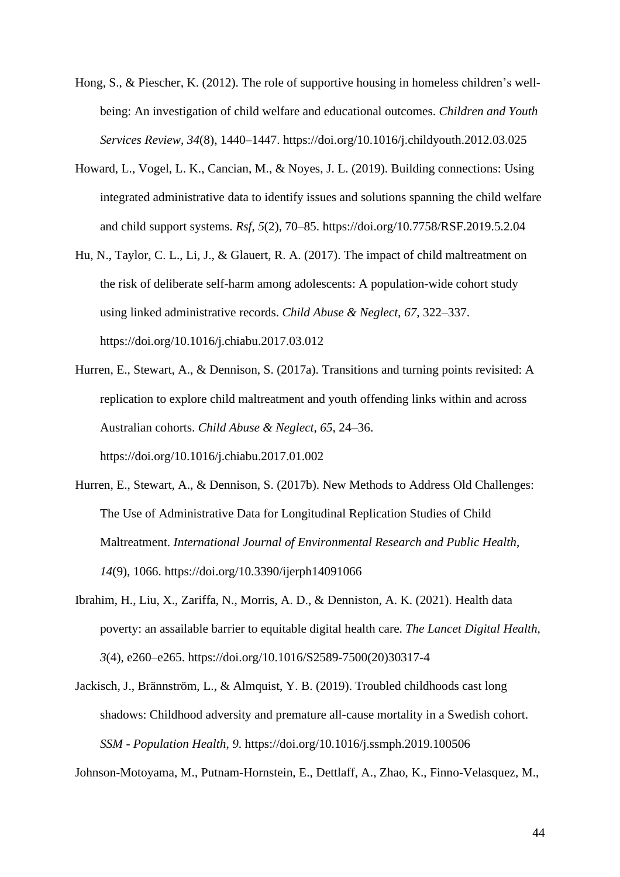- Hong, S., & Piescher, K. (2012). The role of supportive housing in homeless children's wellbeing: An investigation of child welfare and educational outcomes. *Children and Youth Services Review*, *34*(8), 1440–1447. https://doi.org/10.1016/j.childyouth.2012.03.025
- Howard, L., Vogel, L. K., Cancian, M., & Noyes, J. L. (2019). Building connections: Using integrated administrative data to identify issues and solutions spanning the child welfare and child support systems. *Rsf*, *5*(2), 70–85. https://doi.org/10.7758/RSF.2019.5.2.04
- Hu, N., Taylor, C. L., Li, J., & Glauert, R. A. (2017). The impact of child maltreatment on the risk of deliberate self-harm among adolescents: A population-wide cohort study using linked administrative records. *Child Abuse & Neglect*, *67*, 322–337. https://doi.org/10.1016/j.chiabu.2017.03.012
- Hurren, E., Stewart, A., & Dennison, S. (2017a). Transitions and turning points revisited: A replication to explore child maltreatment and youth offending links within and across Australian cohorts. *Child Abuse & Neglect*, *65*, 24–36. https://doi.org/10.1016/j.chiabu.2017.01.002
- Hurren, E., Stewart, A., & Dennison, S. (2017b). New Methods to Address Old Challenges: The Use of Administrative Data for Longitudinal Replication Studies of Child Maltreatment. *International Journal of Environmental Research and Public Health*, *14*(9), 1066. https://doi.org/10.3390/ijerph14091066
- Ibrahim, H., Liu, X., Zariffa, N., Morris, A. D., & Denniston, A. K. (2021). Health data poverty: an assailable barrier to equitable digital health care. *The Lancet Digital Health*, *3*(4), e260–e265. https://doi.org/10.1016/S2589-7500(20)30317-4
- Jackisch, J., Brännström, L., & Almquist, Y. B. (2019). Troubled childhoods cast long shadows: Childhood adversity and premature all-cause mortality in a Swedish cohort. *SSM - Population Health*, *9*. https://doi.org/10.1016/j.ssmph.2019.100506

Johnson-Motoyama, M., Putnam-Hornstein, E., Dettlaff, A., Zhao, K., Finno-Velasquez, M.,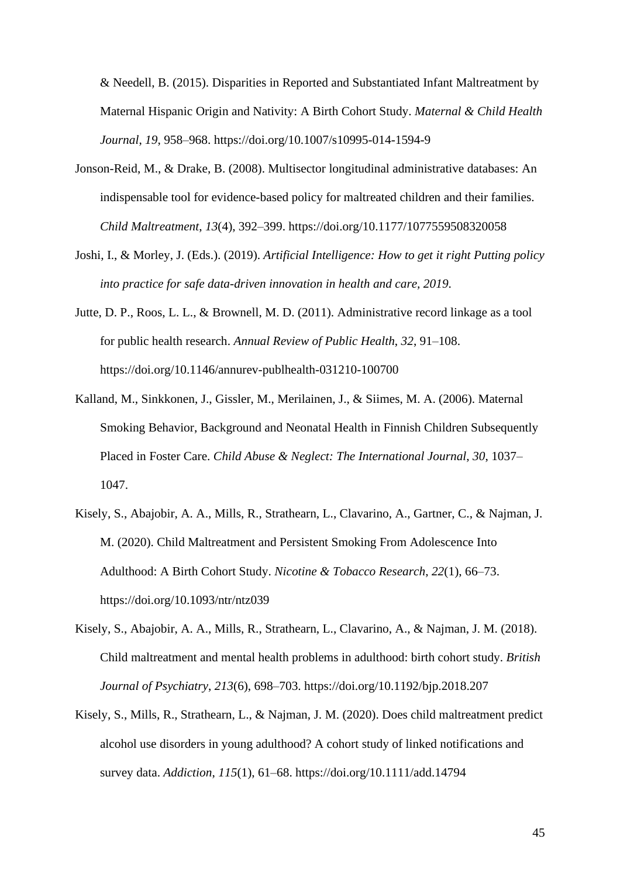& Needell, B. (2015). Disparities in Reported and Substantiated Infant Maltreatment by Maternal Hispanic Origin and Nativity: A Birth Cohort Study. *Maternal & Child Health Journal*, *19*, 958–968. https://doi.org/10.1007/s10995-014-1594-9

- Jonson-Reid, M., & Drake, B. (2008). Multisector longitudinal administrative databases: An indispensable tool for evidence-based policy for maltreated children and their families. *Child Maltreatment*, *13*(4), 392–399. https://doi.org/10.1177/1077559508320058
- Joshi, I., & Morley, J. (Eds.). (2019). *Artificial Intelligence: How to get it right Putting policy into practice for safe data-driven innovation in health and care, 2019*.
- Jutte, D. P., Roos, L. L., & Brownell, M. D. (2011). Administrative record linkage as a tool for public health research. *Annual Review of Public Health*, *32*, 91–108. https://doi.org/10.1146/annurev-publhealth-031210-100700
- Kalland, M., Sinkkonen, J., Gissler, M., Merilainen, J., & Siimes, M. A. (2006). Maternal Smoking Behavior, Background and Neonatal Health in Finnish Children Subsequently Placed in Foster Care. *Child Abuse & Neglect: The International Journal*, *30*, 1037– 1047.
- Kisely, S., Abajobir, A. A., Mills, R., Strathearn, L., Clavarino, A., Gartner, C., & Najman, J. M. (2020). Child Maltreatment and Persistent Smoking From Adolescence Into Adulthood: A Birth Cohort Study. *Nicotine & Tobacco Research*, *22*(1), 66–73. https://doi.org/10.1093/ntr/ntz039
- Kisely, S., Abajobir, A. A., Mills, R., Strathearn, L., Clavarino, A., & Najman, J. M. (2018). Child maltreatment and mental health problems in adulthood: birth cohort study. *British Journal of Psychiatry*, *213*(6), 698–703. https://doi.org/10.1192/bjp.2018.207
- Kisely, S., Mills, R., Strathearn, L., & Najman, J. M. (2020). Does child maltreatment predict alcohol use disorders in young adulthood? A cohort study of linked notifications and survey data. *Addiction*, *115*(1), 61–68. https://doi.org/10.1111/add.14794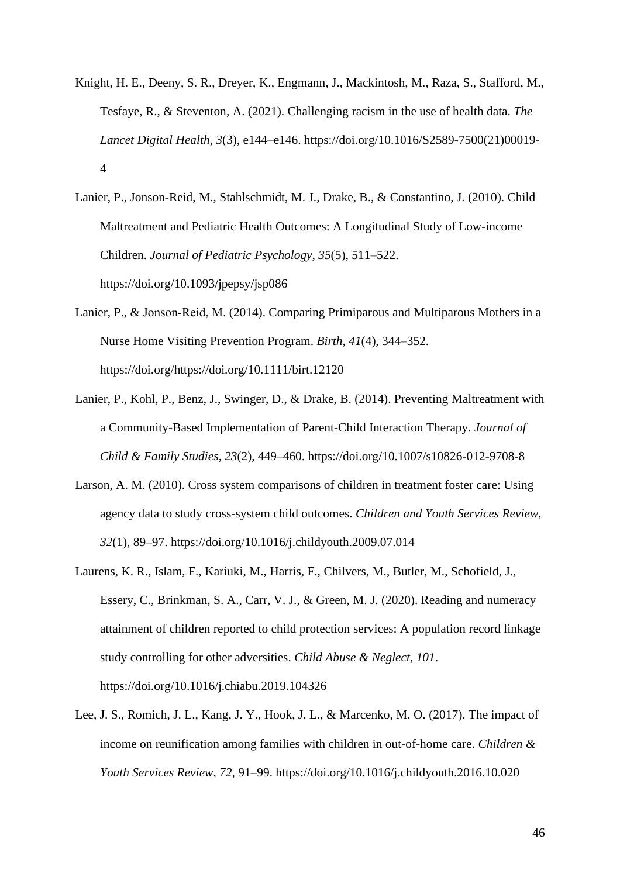Knight, H. E., Deeny, S. R., Dreyer, K., Engmann, J., Mackintosh, M., Raza, S., Stafford, M., Tesfaye, R., & Steventon, A. (2021). Challenging racism in the use of health data. *The Lancet Digital Health*, *3*(3), e144–e146. https://doi.org/10.1016/S2589-7500(21)00019- 4

Lanier, P., Jonson-Reid, M., Stahlschmidt, M. J., Drake, B., & Constantino, J. (2010). Child Maltreatment and Pediatric Health Outcomes: A Longitudinal Study of Low-income Children. *Journal of Pediatric Psychology*, *35*(5), 511–522. https://doi.org/10.1093/jpepsy/jsp086

- Lanier, P., & Jonson‐Reid, M. (2014). Comparing Primiparous and Multiparous Mothers in a Nurse Home Visiting Prevention Program. *Birth*, *41*(4), 344–352. https://doi.org/https://doi.org/10.1111/birt.12120
- Lanier, P., Kohl, P., Benz, J., Swinger, D., & Drake, B. (2014). Preventing Maltreatment with a Community-Based Implementation of Parent-Child Interaction Therapy. *Journal of Child & Family Studies*, *23*(2), 449–460. https://doi.org/10.1007/s10826-012-9708-8
- Larson, A. M. (2010). Cross system comparisons of children in treatment foster care: Using agency data to study cross-system child outcomes. *Children and Youth Services Review*, *32*(1), 89–97. https://doi.org/10.1016/j.childyouth.2009.07.014
- Laurens, K. R., Islam, F., Kariuki, M., Harris, F., Chilvers, M., Butler, M., Schofield, J., Essery, C., Brinkman, S. A., Carr, V. J., & Green, M. J. (2020). Reading and numeracy attainment of children reported to child protection services: A population record linkage study controlling for other adversities. *Child Abuse & Neglect*, *101*. https://doi.org/10.1016/j.chiabu.2019.104326
- Lee, J. S., Romich, J. L., Kang, J. Y., Hook, J. L., & Marcenko, M. O. (2017). The impact of income on reunification among families with children in out-of-home care. *Children & Youth Services Review*, *72*, 91–99. https://doi.org/10.1016/j.childyouth.2016.10.020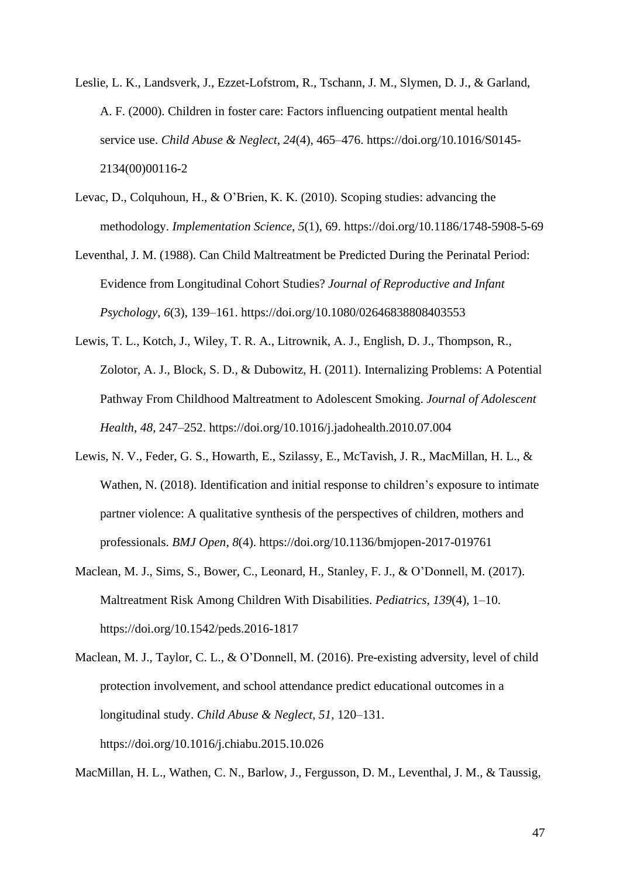- Leslie, L. K., Landsverk, J., Ezzet-Lofstrom, R., Tschann, J. M., Slymen, D. J., & Garland, A. F. (2000). Children in foster care: Factors influencing outpatient mental health service use. *Child Abuse & Neglect*, *24*(4), 465–476. https://doi.org/10.1016/S0145- 2134(00)00116-2
- Levac, D., Colquhoun, H., & O'Brien, K. K. (2010). Scoping studies: advancing the methodology. *Implementation Science*, *5*(1), 69. https://doi.org/10.1186/1748-5908-5-69
- Leventhal, J. M. (1988). Can Child Maltreatment be Predicted During the Perinatal Period: Evidence from Longitudinal Cohort Studies? *Journal of Reproductive and Infant Psychology*, *6*(3), 139–161. https://doi.org/10.1080/02646838808403553
- Lewis, T. L., Kotch, J., Wiley, T. R. A., Litrownik, A. J., English, D. J., Thompson, R., Zolotor, A. J., Block, S. D., & Dubowitz, H. (2011). Internalizing Problems: A Potential Pathway From Childhood Maltreatment to Adolescent Smoking. *Journal of Adolescent Health*, *48*, 247–252. https://doi.org/10.1016/j.jadohealth.2010.07.004
- Lewis, N. V., Feder, G. S., Howarth, E., Szilassy, E., McTavish, J. R., MacMillan, H. L., & Wathen, N. (2018). Identification and initial response to children's exposure to intimate partner violence: A qualitative synthesis of the perspectives of children, mothers and professionals. *BMJ Open*, *8*(4). https://doi.org/10.1136/bmjopen-2017-019761
- Maclean, M. J., Sims, S., Bower, C., Leonard, H., Stanley, F. J., & O'Donnell, M. (2017). Maltreatment Risk Among Children With Disabilities. *Pediatrics*, *139*(4), 1–10. https://doi.org/10.1542/peds.2016-1817
- Maclean, M. J., Taylor, C. L., & O'Donnell, M. (2016). Pre-existing adversity, level of child protection involvement, and school attendance predict educational outcomes in a longitudinal study. *Child Abuse & Neglect*, *51*, 120–131. https://doi.org/10.1016/j.chiabu.2015.10.026

MacMillan, H. L., Wathen, C. N., Barlow, J., Fergusson, D. M., Leventhal, J. M., & Taussig,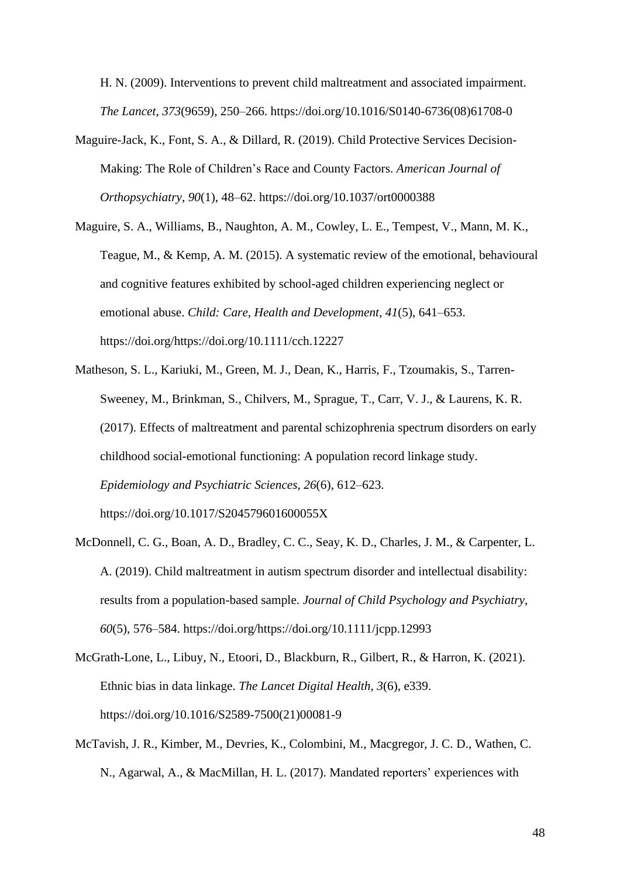H. N. (2009). Interventions to prevent child maltreatment and associated impairment. *The Lancet*, *373*(9659), 250–266. https://doi.org/10.1016/S0140-6736(08)61708-0

- Maguire-Jack, K., Font, S. A., & Dillard, R. (2019). Child Protective Services Decision-Making: The Role of Children's Race and County Factors. *American Journal of Orthopsychiatry*, *90*(1), 48–62. https://doi.org/10.1037/ort0000388
- Maguire, S. A., Williams, B., Naughton, A. M., Cowley, L. E., Tempest, V., Mann, M. K., Teague, M., & Kemp, A. M. (2015). A systematic review of the emotional, behavioural and cognitive features exhibited by school-aged children experiencing neglect or emotional abuse. *Child: Care, Health and Development*, *41*(5), 641–653. https://doi.org/https://doi.org/10.1111/cch.12227
- Matheson, S. L., Kariuki, M., Green, M. J., Dean, K., Harris, F., Tzoumakis, S., Tarren-Sweeney, M., Brinkman, S., Chilvers, M., Sprague, T., Carr, V. J., & Laurens, K. R. (2017). Effects of maltreatment and parental schizophrenia spectrum disorders on early childhood social-emotional functioning: A population record linkage study. *Epidemiology and Psychiatric Sciences*, *26*(6), 612–623. https://doi.org/10.1017/S204579601600055X
- McDonnell, C. G., Boan, A. D., Bradley, C. C., Seay, K. D., Charles, J. M., & Carpenter, L. A. (2019). Child maltreatment in autism spectrum disorder and intellectual disability: results from a population-based sample. *Journal of Child Psychology and Psychiatry*, *60*(5), 576–584. https://doi.org/https://doi.org/10.1111/jcpp.12993
- McGrath-Lone, L., Libuy, N., Etoori, D., Blackburn, R., Gilbert, R., & Harron, K. (2021). Ethnic bias in data linkage. *The Lancet Digital Health*, *3*(6), e339. https://doi.org/10.1016/S2589-7500(21)00081-9
- McTavish, J. R., Kimber, M., Devries, K., Colombini, M., Macgregor, J. C. D., Wathen, C. N., Agarwal, A., & MacMillan, H. L. (2017). Mandated reporters' experiences with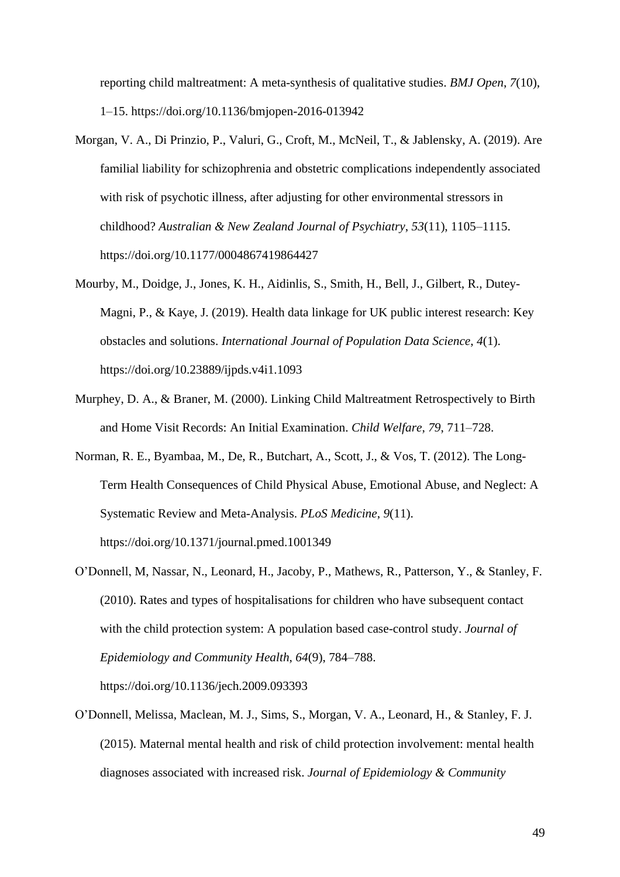reporting child maltreatment: A meta-synthesis of qualitative studies. *BMJ Open*, *7*(10), 1–15. https://doi.org/10.1136/bmjopen-2016-013942

- Morgan, V. A., Di Prinzio, P., Valuri, G., Croft, M., McNeil, T., & Jablensky, A. (2019). Are familial liability for schizophrenia and obstetric complications independently associated with risk of psychotic illness, after adjusting for other environmental stressors in childhood? *Australian & New Zealand Journal of Psychiatry*, *53*(11), 1105–1115. https://doi.org/10.1177/0004867419864427
- Mourby, M., Doidge, J., Jones, K. H., Aidinlis, S., Smith, H., Bell, J., Gilbert, R., Dutey-Magni, P., & Kaye, J. (2019). Health data linkage for UK public interest research: Key obstacles and solutions. *International Journal of Population Data Science*, *4*(1). https://doi.org/10.23889/ijpds.v4i1.1093
- Murphey, D. A., & Braner, M. (2000). Linking Child Maltreatment Retrospectively to Birth and Home Visit Records: An Initial Examination. *Child Welfare*, *79*, 711–728.
- Norman, R. E., Byambaa, M., De, R., Butchart, A., Scott, J., & Vos, T. (2012). The Long-Term Health Consequences of Child Physical Abuse, Emotional Abuse, and Neglect: A Systematic Review and Meta-Analysis. *PLoS Medicine*, *9*(11). https://doi.org/10.1371/journal.pmed.1001349
- O'Donnell, M, Nassar, N., Leonard, H., Jacoby, P., Mathews, R., Patterson, Y., & Stanley, F. (2010). Rates and types of hospitalisations for children who have subsequent contact with the child protection system: A population based case-control study. *Journal of Epidemiology and Community Health*, *64*(9), 784–788.

https://doi.org/10.1136/jech.2009.093393

O'Donnell, Melissa, Maclean, M. J., Sims, S., Morgan, V. A., Leonard, H., & Stanley, F. J. (2015). Maternal mental health and risk of child protection involvement: mental health diagnoses associated with increased risk. *Journal of Epidemiology & Community*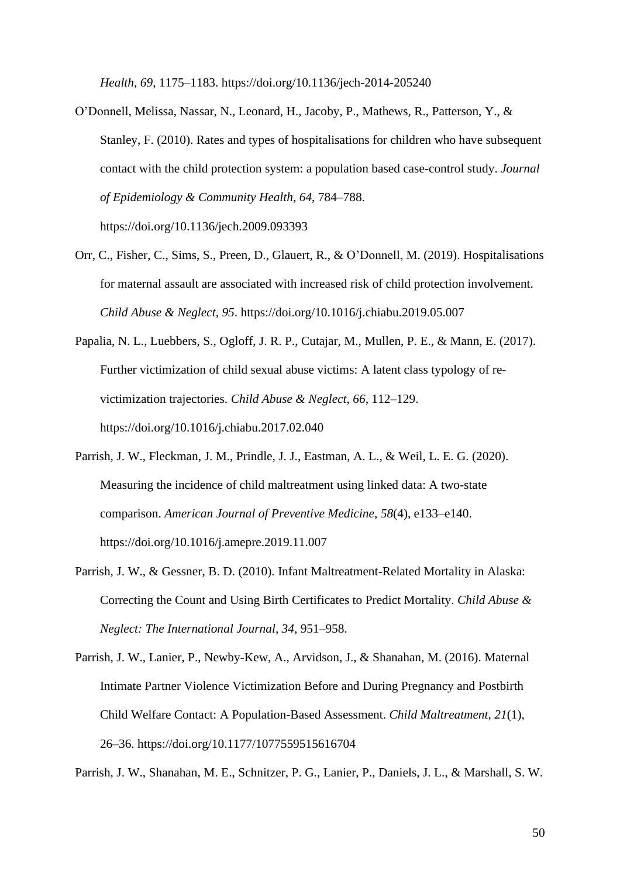*Health*, *69*, 1175–1183. https://doi.org/10.1136/jech-2014-205240

- O'Donnell, Melissa, Nassar, N., Leonard, H., Jacoby, P., Mathews, R., Patterson, Y., & Stanley, F. (2010). Rates and types of hospitalisations for children who have subsequent contact with the child protection system: a population based case-control study. *Journal of Epidemiology & Community Health*, *64*, 784–788. https://doi.org/10.1136/jech.2009.093393
- Orr, C., Fisher, C., Sims, S., Preen, D., Glauert, R., & O'Donnell, M. (2019). Hospitalisations for maternal assault are associated with increased risk of child protection involvement. *Child Abuse & Neglect*, *95*. https://doi.org/10.1016/j.chiabu.2019.05.007
- Papalia, N. L., Luebbers, S., Ogloff, J. R. P., Cutajar, M., Mullen, P. E., & Mann, E. (2017). Further victimization of child sexual abuse victims: A latent class typology of revictimization trajectories. *Child Abuse & Neglect*, *66*, 112–129. https://doi.org/10.1016/j.chiabu.2017.02.040
- Parrish, J. W., Fleckman, J. M., Prindle, J. J., Eastman, A. L., & Weil, L. E. G. (2020). Measuring the incidence of child maltreatment using linked data: A two-state comparison. *American Journal of Preventive Medicine*, *58*(4), e133–e140. https://doi.org/10.1016/j.amepre.2019.11.007
- Parrish, J. W., & Gessner, B. D. (2010). Infant Maltreatment-Related Mortality in Alaska: Correcting the Count and Using Birth Certificates to Predict Mortality. *Child Abuse & Neglect: The International Journal*, *34*, 951–958.
- Parrish, J. W., Lanier, P., Newby-Kew, A., Arvidson, J., & Shanahan, M. (2016). Maternal Intimate Partner Violence Victimization Before and During Pregnancy and Postbirth Child Welfare Contact: A Population-Based Assessment. *Child Maltreatment*, *21*(1), 26–36. https://doi.org/10.1177/1077559515616704

Parrish, J. W., Shanahan, M. E., Schnitzer, P. G., Lanier, P., Daniels, J. L., & Marshall, S. W.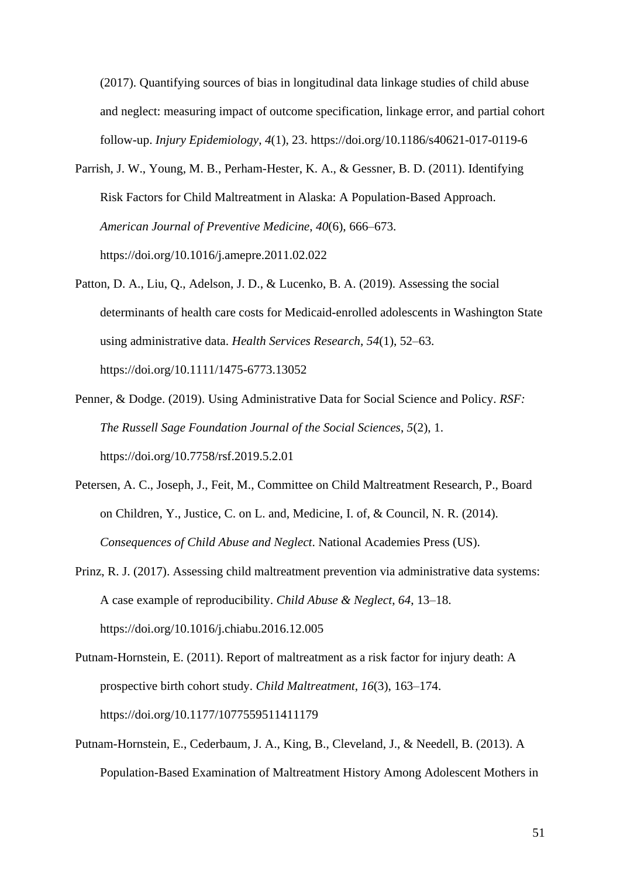(2017). Quantifying sources of bias in longitudinal data linkage studies of child abuse and neglect: measuring impact of outcome specification, linkage error, and partial cohort follow-up. *Injury Epidemiology*, *4*(1), 23. https://doi.org/10.1186/s40621-017-0119-6

- Parrish, J. W., Young, M. B., Perham-Hester, K. A., & Gessner, B. D. (2011). Identifying Risk Factors for Child Maltreatment in Alaska: A Population-Based Approach. *American Journal of Preventive Medicine*, *40*(6), 666–673. https://doi.org/10.1016/j.amepre.2011.02.022
- Patton, D. A., Liu, Q., Adelson, J. D., & Lucenko, B. A. (2019). Assessing the social determinants of health care costs for Medicaid-enrolled adolescents in Washington State using administrative data. *Health Services Research*, *54*(1), 52–63. https://doi.org/10.1111/1475-6773.13052
- Penner, & Dodge. (2019). Using Administrative Data for Social Science and Policy. *RSF: The Russell Sage Foundation Journal of the Social Sciences*, *5*(2), 1. https://doi.org/10.7758/rsf.2019.5.2.01
- Petersen, A. C., Joseph, J., Feit, M., Committee on Child Maltreatment Research, P., Board on Children, Y., Justice, C. on L. and, Medicine, I. of, & Council, N. R. (2014). *Consequences of Child Abuse and Neglect*. National Academies Press (US).
- Prinz, R. J. (2017). Assessing child maltreatment prevention via administrative data systems: A case example of reproducibility. *Child Abuse & Neglect*, *64*, 13–18. https://doi.org/10.1016/j.chiabu.2016.12.005
- Putnam-Hornstein, E. (2011). Report of maltreatment as a risk factor for injury death: A prospective birth cohort study. *Child Maltreatment*, *16*(3), 163–174. https://doi.org/10.1177/1077559511411179
- Putnam-Hornstein, E., Cederbaum, J. A., King, B., Cleveland, J., & Needell, B. (2013). A Population-Based Examination of Maltreatment History Among Adolescent Mothers in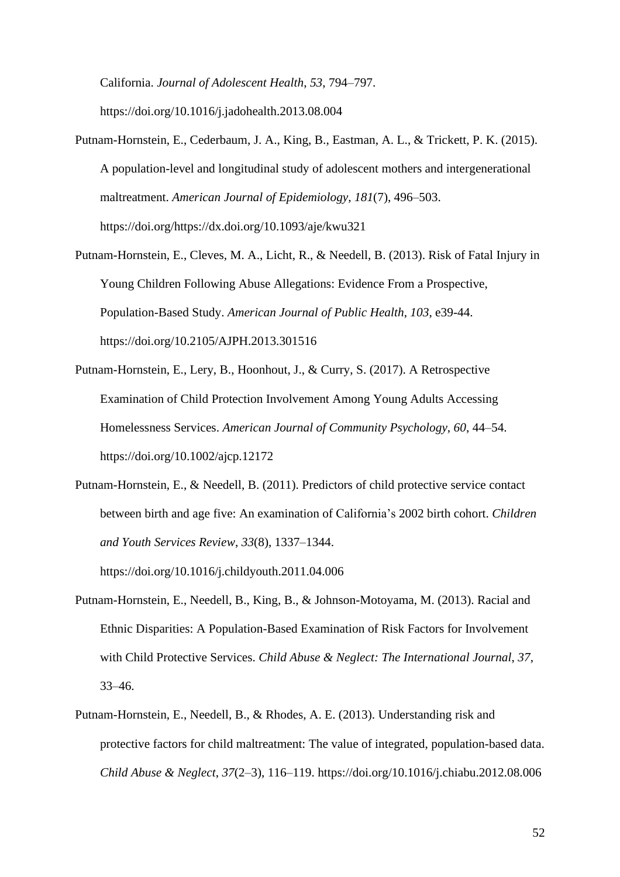California. *Journal of Adolescent Health*, *53*, 794–797. https://doi.org/10.1016/j.jadohealth.2013.08.004

- Putnam-Hornstein, E., Cederbaum, J. A., King, B., Eastman, A. L., & Trickett, P. K. (2015). A population-level and longitudinal study of adolescent mothers and intergenerational maltreatment. *American Journal of Epidemiology*, *181*(7), 496–503. https://doi.org/https://dx.doi.org/10.1093/aje/kwu321
- Putnam-Hornstein, E., Cleves, M. A., Licht, R., & Needell, B. (2013). Risk of Fatal Injury in Young Children Following Abuse Allegations: Evidence From a Prospective, Population-Based Study. *American Journal of Public Health*, *103*, e39-44. https://doi.org/10.2105/AJPH.2013.301516
- Putnam-Hornstein, E., Lery, B., Hoonhout, J., & Curry, S. (2017). A Retrospective Examination of Child Protection Involvement Among Young Adults Accessing Homelessness Services. *American Journal of Community Psychology*, *60*, 44–54. https://doi.org/10.1002/ajcp.12172
- Putnam-Hornstein, E., & Needell, B. (2011). Predictors of child protective service contact between birth and age five: An examination of California's 2002 birth cohort. *Children and Youth Services Review*, *33*(8), 1337–1344. https://doi.org/10.1016/j.childyouth.2011.04.006
- Putnam-Hornstein, E., Needell, B., King, B., & Johnson-Motoyama, M. (2013). Racial and Ethnic Disparities: A Population-Based Examination of Risk Factors for Involvement with Child Protective Services. *Child Abuse & Neglect: The International Journal*, *37*, 33–46.
- Putnam-Hornstein, E., Needell, B., & Rhodes, A. E. (2013). Understanding risk and protective factors for child maltreatment: The value of integrated, population-based data. *Child Abuse & Neglect*, *37*(2–3), 116–119. https://doi.org/10.1016/j.chiabu.2012.08.006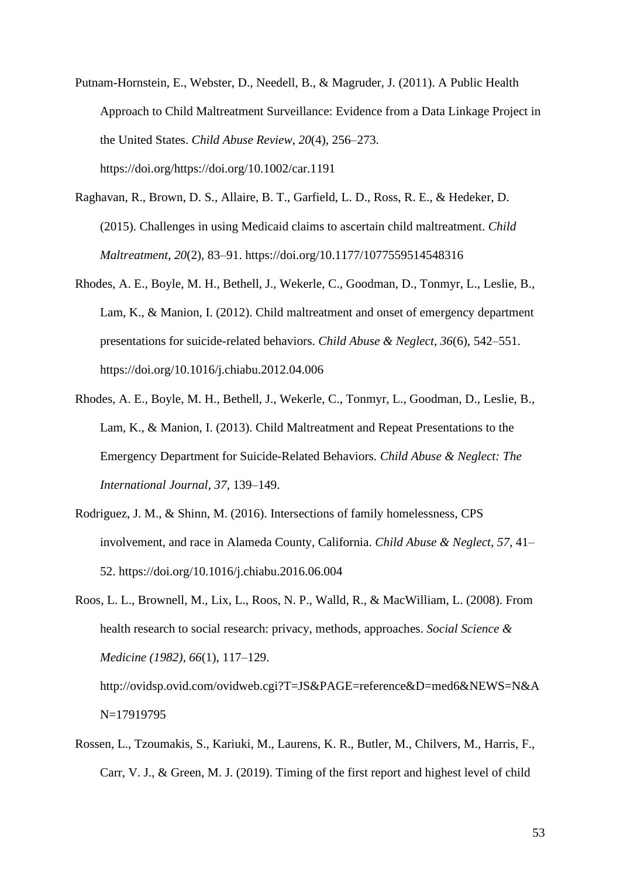- Putnam-Hornstein, E., Webster, D., Needell, B., & Magruder, J. (2011). A Public Health Approach to Child Maltreatment Surveillance: Evidence from a Data Linkage Project in the United States. *Child Abuse Review*, *20*(4), 256–273. https://doi.org/https://doi.org/10.1002/car.1191
- Raghavan, R., Brown, D. S., Allaire, B. T., Garfield, L. D., Ross, R. E., & Hedeker, D. (2015). Challenges in using Medicaid claims to ascertain child maltreatment. *Child Maltreatment*, *20*(2), 83–91. https://doi.org/10.1177/1077559514548316
- Rhodes, A. E., Boyle, M. H., Bethell, J., Wekerle, C., Goodman, D., Tonmyr, L., Leslie, B., Lam, K., & Manion, I. (2012). Child maltreatment and onset of emergency department presentations for suicide-related behaviors. *Child Abuse & Neglect*, *36*(6), 542–551. https://doi.org/10.1016/j.chiabu.2012.04.006
- Rhodes, A. E., Boyle, M. H., Bethell, J., Wekerle, C., Tonmyr, L., Goodman, D., Leslie, B., Lam, K., & Manion, I. (2013). Child Maltreatment and Repeat Presentations to the Emergency Department for Suicide-Related Behaviors. *Child Abuse & Neglect: The International Journal*, *37*, 139–149.
- Rodriguez, J. M., & Shinn, M. (2016). Intersections of family homelessness, CPS involvement, and race in Alameda County, California. *Child Abuse & Neglect*, *57*, 41– 52. https://doi.org/10.1016/j.chiabu.2016.06.004
- Roos, L. L., Brownell, M., Lix, L., Roos, N. P., Walld, R., & MacWilliam, L. (2008). From health research to social research: privacy, methods, approaches. *Social Science & Medicine (1982)*, *66*(1), 117–129. http://ovidsp.ovid.com/ovidweb.cgi?T=JS&PAGE=reference&D=med6&NEWS=N&A N=17919795
- Rossen, L., Tzoumakis, S., Kariuki, M., Laurens, K. R., Butler, M., Chilvers, M., Harris, F., Carr, V. J., & Green, M. J. (2019). Timing of the first report and highest level of child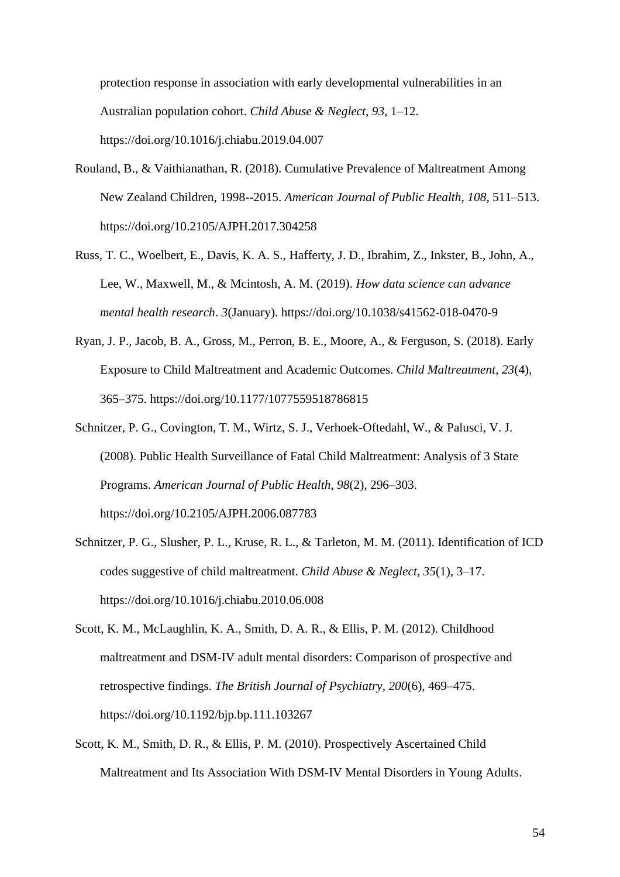protection response in association with early developmental vulnerabilities in an Australian population cohort. *Child Abuse & Neglect*, *93*, 1–12. https://doi.org/10.1016/j.chiabu.2019.04.007

- Rouland, B., & Vaithianathan, R. (2018). Cumulative Prevalence of Maltreatment Among New Zealand Children, 1998--2015. *American Journal of Public Health*, *108*, 511–513. https://doi.org/10.2105/AJPH.2017.304258
- Russ, T. C., Woelbert, E., Davis, K. A. S., Hafferty, J. D., Ibrahim, Z., Inkster, B., John, A., Lee, W., Maxwell, M., & Mcintosh, A. M. (2019). *How data science can advance mental health research*. *3*(January). https://doi.org/10.1038/s41562-018-0470-9
- Ryan, J. P., Jacob, B. A., Gross, M., Perron, B. E., Moore, A., & Ferguson, S. (2018). Early Exposure to Child Maltreatment and Academic Outcomes. *Child Maltreatment*, *23*(4), 365–375. https://doi.org/10.1177/1077559518786815
- Schnitzer, P. G., Covington, T. M., Wirtz, S. J., Verhoek-Oftedahl, W., & Palusci, V. J. (2008). Public Health Surveillance of Fatal Child Maltreatment: Analysis of 3 State Programs. *American Journal of Public Health*, *98*(2), 296–303. https://doi.org/10.2105/AJPH.2006.087783
- Schnitzer, P. G., Slusher, P. L., Kruse, R. L., & Tarleton, M. M. (2011). Identification of ICD codes suggestive of child maltreatment. *Child Abuse & Neglect*, *35*(1), 3–17. https://doi.org/10.1016/j.chiabu.2010.06.008
- Scott, K. M., McLaughlin, K. A., Smith, D. A. R., & Ellis, P. M. (2012). Childhood maltreatment and DSM-IV adult mental disorders: Comparison of prospective and retrospective findings. *The British Journal of Psychiatry*, *200*(6), 469–475. https://doi.org/10.1192/bjp.bp.111.103267
- Scott, K. M., Smith, D. R., & Ellis, P. M. (2010). Prospectively Ascertained Child Maltreatment and Its Association With DSM-IV Mental Disorders in Young Adults.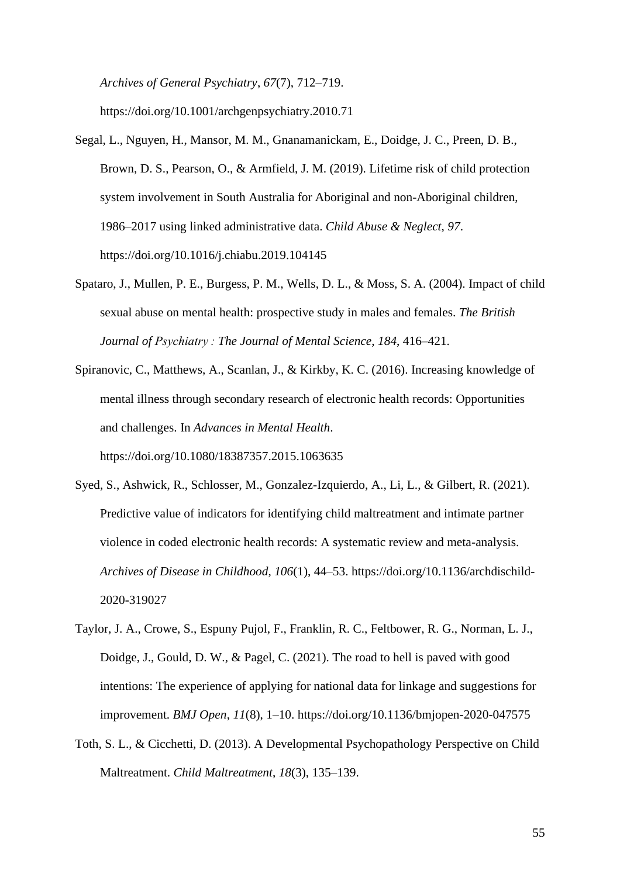*Archives of General Psychiatry*, *67*(7), 712–719. https://doi.org/10.1001/archgenpsychiatry.2010.71

- Segal, L., Nguyen, H., Mansor, M. M., Gnanamanickam, E., Doidge, J. C., Preen, D. B., Brown, D. S., Pearson, O., & Armfield, J. M. (2019). Lifetime risk of child protection system involvement in South Australia for Aboriginal and non-Aboriginal children, 1986–2017 using linked administrative data. *Child Abuse & Neglect*, *97*. https://doi.org/10.1016/j.chiabu.2019.104145
- Spataro, J., Mullen, P. E., Burgess, P. M., Wells, D. L., & Moss, S. A. (2004). Impact of child sexual abuse on mental health: prospective study in males and females. *The British Journal of Psychiatry : The Journal of Mental Science*, *184*, 416–421.
- Spiranovic, C., Matthews, A., Scanlan, J., & Kirkby, K. C. (2016). Increasing knowledge of mental illness through secondary research of electronic health records: Opportunities and challenges. In *Advances in Mental Health*.

https://doi.org/10.1080/18387357.2015.1063635

- Syed, S., Ashwick, R., Schlosser, M., Gonzalez-Izquierdo, A., Li, L., & Gilbert, R. (2021). Predictive value of indicators for identifying child maltreatment and intimate partner violence in coded electronic health records: A systematic review and meta-analysis. *Archives of Disease in Childhood*, *106*(1), 44–53. https://doi.org/10.1136/archdischild-2020-319027
- Taylor, J. A., Crowe, S., Espuny Pujol, F., Franklin, R. C., Feltbower, R. G., Norman, L. J., Doidge, J., Gould, D. W., & Pagel, C. (2021). The road to hell is paved with good intentions: The experience of applying for national data for linkage and suggestions for improvement. *BMJ Open*, *11*(8), 1–10. https://doi.org/10.1136/bmjopen-2020-047575
- Toth, S. L., & Cicchetti, D. (2013). A Developmental Psychopathology Perspective on Child Maltreatment. *Child Maltreatment*, *18*(3), 135–139.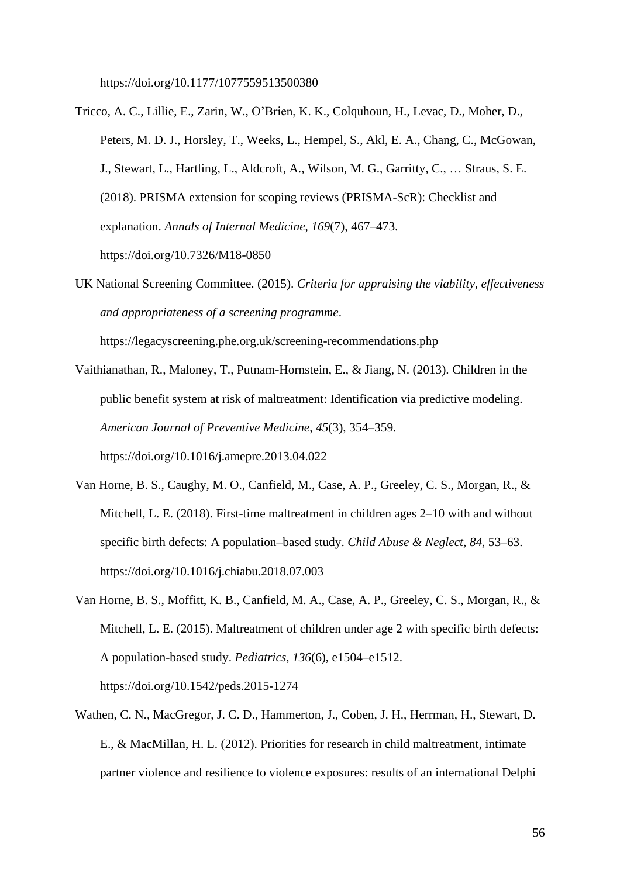https://doi.org/10.1177/1077559513500380

- Tricco, A. C., Lillie, E., Zarin, W., O'Brien, K. K., Colquhoun, H., Levac, D., Moher, D., Peters, M. D. J., Horsley, T., Weeks, L., Hempel, S., Akl, E. A., Chang, C., McGowan, J., Stewart, L., Hartling, L., Aldcroft, A., Wilson, M. G., Garritty, C., … Straus, S. E. (2018). PRISMA extension for scoping reviews (PRISMA-ScR): Checklist and explanation. *Annals of Internal Medicine*, *169*(7), 467–473. https://doi.org/10.7326/M18-0850
- UK National Screening Committee. (2015). *Criteria for appraising the viability, effectiveness and appropriateness of a screening programme*. https://legacyscreening.phe.org.uk/screening-recommendations.php

Vaithianathan, R., Maloney, T., Putnam-Hornstein, E., & Jiang, N. (2013). Children in the public benefit system at risk of maltreatment: Identification via predictive modeling. *American Journal of Preventive Medicine*, *45*(3), 354–359. https://doi.org/10.1016/j.amepre.2013.04.022

- Van Horne, B. S., Caughy, M. O., Canfield, M., Case, A. P., Greeley, C. S., Morgan, R., & Mitchell, L. E. (2018). First-time maltreatment in children ages 2–10 with and without specific birth defects: A population–based study. *Child Abuse & Neglect*, *84*, 53–63. https://doi.org/10.1016/j.chiabu.2018.07.003
- Van Horne, B. S., Moffitt, K. B., Canfield, M. A., Case, A. P., Greeley, C. S., Morgan, R., & Mitchell, L. E. (2015). Maltreatment of children under age 2 with specific birth defects: A population-based study. *Pediatrics*, *136*(6), e1504–e1512. https://doi.org/10.1542/peds.2015-1274
- Wathen, C. N., MacGregor, J. C. D., Hammerton, J., Coben, J. H., Herrman, H., Stewart, D. E., & MacMillan, H. L. (2012). Priorities for research in child maltreatment, intimate partner violence and resilience to violence exposures: results of an international Delphi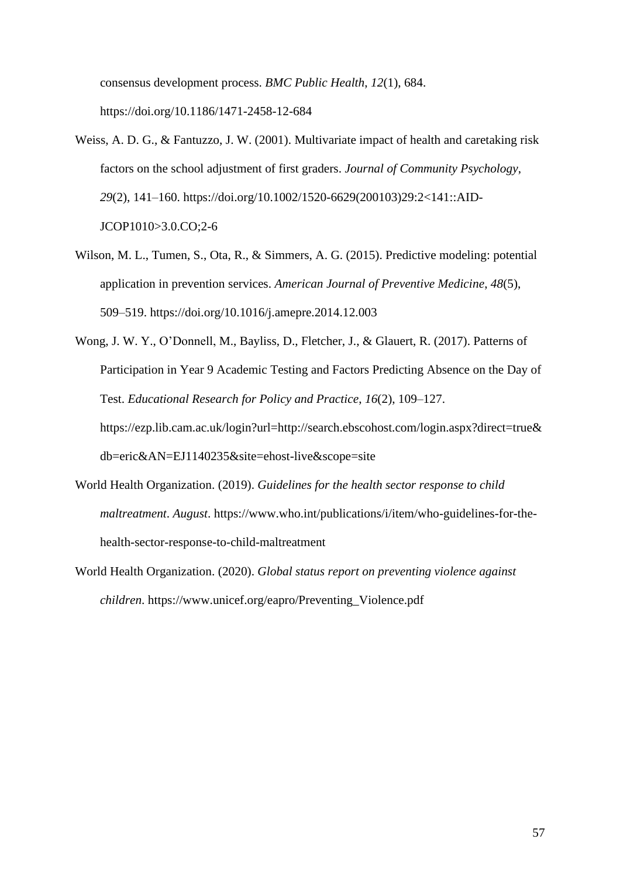consensus development process. *BMC Public Health*, *12*(1), 684. https://doi.org/10.1186/1471-2458-12-684

- Weiss, A. D. G., & Fantuzzo, J. W. (2001). Multivariate impact of health and caretaking risk factors on the school adjustment of first graders. *Journal of Community Psychology*, *29*(2), 141–160. https://doi.org/10.1002/1520-6629(200103)29:2<141::AID-JCOP1010>3.0.CO;2-6
- Wilson, M. L., Tumen, S., Ota, R., & Simmers, A. G. (2015). Predictive modeling: potential application in prevention services. *American Journal of Preventive Medicine*, *48*(5), 509–519. https://doi.org/10.1016/j.amepre.2014.12.003
- Wong, J. W. Y., O'Donnell, M., Bayliss, D., Fletcher, J., & Glauert, R. (2017). Patterns of Participation in Year 9 Academic Testing and Factors Predicting Absence on the Day of Test. *Educational Research for Policy and Practice*, *16*(2), 109–127. https://ezp.lib.cam.ac.uk/login?url=http://search.ebscohost.com/login.aspx?direct=true& db=eric&AN=EJ1140235&site=ehost-live&scope=site
- World Health Organization. (2019). *Guidelines for the health sector response to child maltreatment*. *August*. https://www.who.int/publications/i/item/who-guidelines-for-thehealth-sector-response-to-child-maltreatment
- World Health Organization. (2020). *Global status report on preventing violence against children*. https://www.unicef.org/eapro/Preventing\_Violence.pdf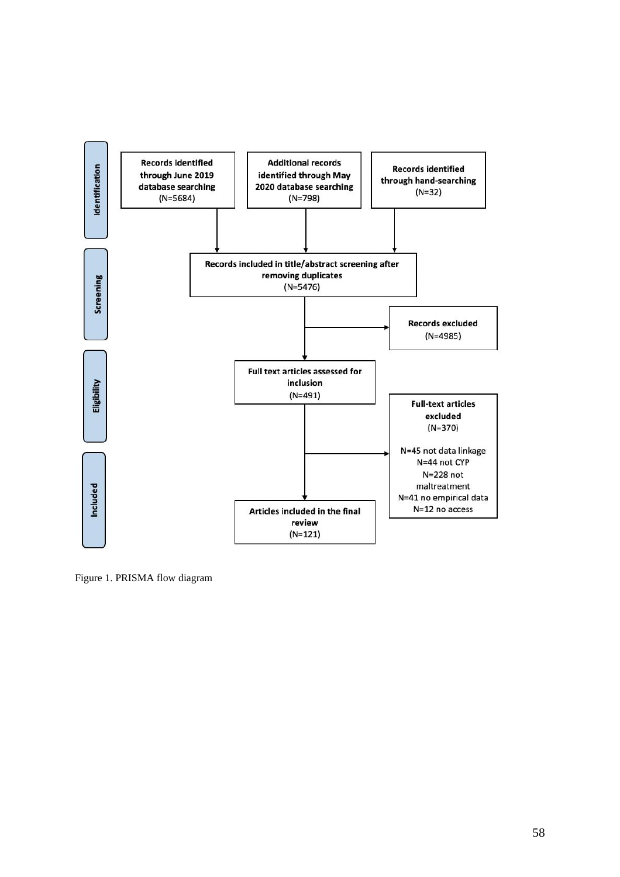

Figure 1. PRISMA flow diagram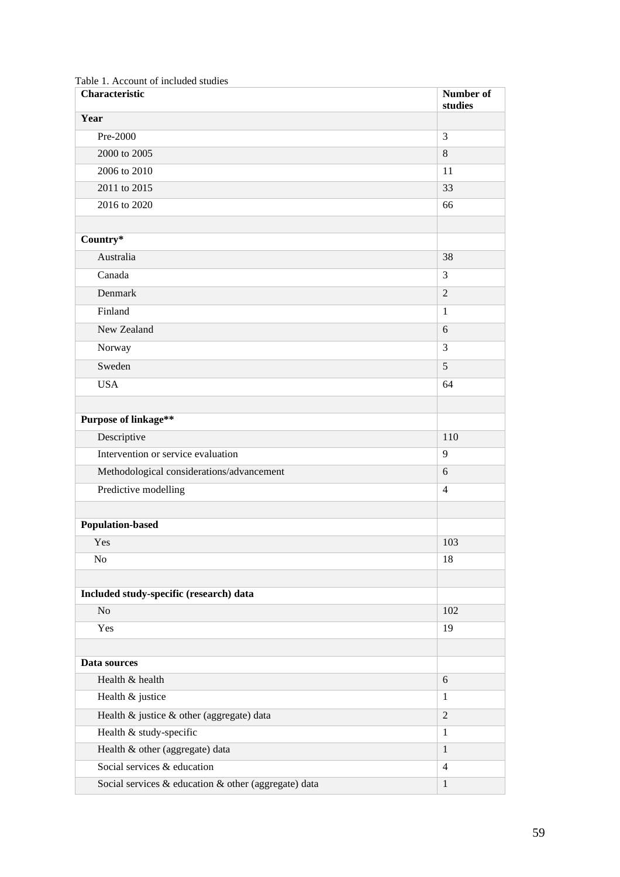| Characteristic                                       | Number of<br>studies |
|------------------------------------------------------|----------------------|
| Year                                                 |                      |
| Pre-2000                                             | 3                    |
| 2000 to 2005                                         | 8                    |
| 2006 to 2010                                         | 11                   |
| 2011 to 2015                                         | 33                   |
| 2016 to 2020                                         | 66                   |
| Country*                                             |                      |
| Australia                                            | 38                   |
| Canada                                               | 3                    |
| Denmark                                              | $\overline{2}$       |
| Finland                                              | $\mathbf{1}$         |
| New Zealand                                          | 6                    |
| Norway                                               | 3                    |
| Sweden                                               | 5                    |
| <b>USA</b>                                           | 64                   |
|                                                      |                      |
| <b>Purpose of linkage**</b>                          |                      |
| Descriptive                                          | 110                  |
| Intervention or service evaluation                   | 9                    |
| Methodological considerations/advancement            | 6                    |
| Predictive modelling                                 | $\overline{4}$       |
|                                                      |                      |
| <b>Population-based</b>                              |                      |
| Yes                                                  | 103                  |
| N <sub>0</sub>                                       | 18                   |
|                                                      |                      |
| Included study-specific (research) data              |                      |
| No                                                   | 102                  |
| Yes                                                  | 19                   |
| Data sources                                         |                      |
| Health & health                                      | 6                    |
| Health & justice                                     | $\mathbf{1}$         |
| Health & justice & other (aggregate) data            | $\overline{2}$       |
| Health & study-specific                              | $\mathbf{1}$         |
| Health & other (aggregate) data                      | $\mathbf{1}$         |
| Social services & education                          | $\overline{4}$       |
| Social services & education & other (aggregate) data | $\,1\,$              |